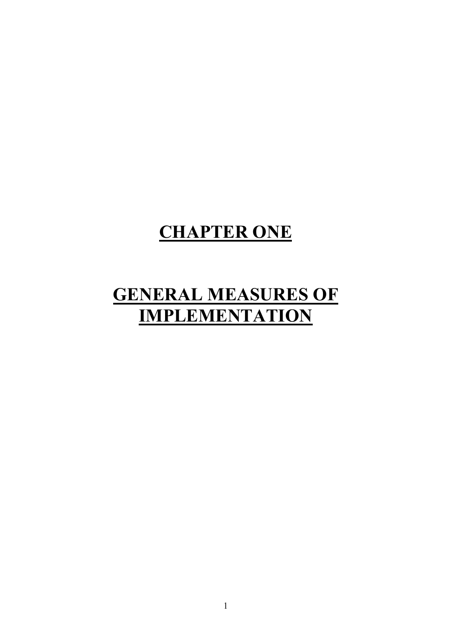# **CHAPTER ONE**

# **GENERAL MEASURES OF IMPLEMENTATION**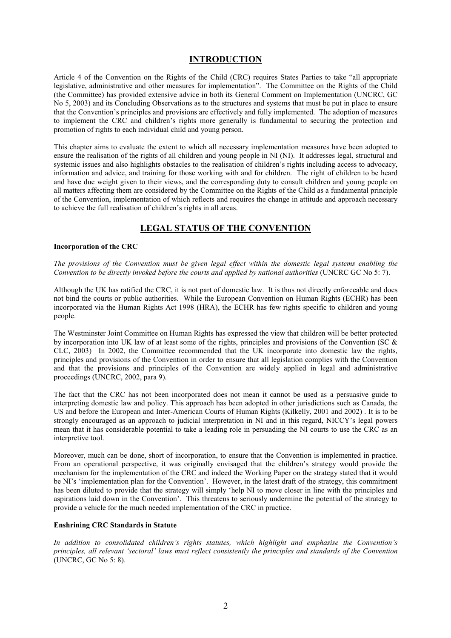### **INTRODUCTION**

Article 4 of the Convention on the Rights of the Child (CRC) requires States Parties to take "all appropriate" legislative, administrative and other measures for implementation". The Committee on the Rights of the Child (the Committee) has provided extensive advice in both its General Comment on Implementation (UNCRC, GC) No 5, 2003) and its Concluding Observations as to the structures and systems that must be put in place to ensure that the Convention's principles and provisions are effectively and fully implemented. The adoption of measures to implement the CRC and children's rights more generally is fundamental to securing the protection and promotion of rights to each individual child and young person.

This chapter aims to evaluate the extent to which all necessary implementation measures have been adopted to ensure the realisation of the rights of all children and young people in NI (NI). It addresses legal, structural and systemic issues and also highlights obstacles to the realisation of children's rights including access to advocacy, information and advice, and training for those working with and for children. The right of children to be heard and have due weight given to their views, and the corresponding duty to consult children and young people on all matters affecting them are considered by the Committee on the Rights of the Child as a fundamental principle of the Convention, implementation of which reflects and requires the change in attitude and approach necessary to achieve the full realisation of children's rights in all areas.

## **LEGAL STATUS OF THE CONVENTION**

#### **Incorporation of the CRC**

The provisions of the Convention must be given legal effect within the domestic legal systems enabling the Convention to be directly invoked before the courts and applied by national authorities (UNCRC GC No 5: 7).

Although the UK has ratified the CRC, it is not part of domestic law. It is thus not directly enforceable and does not bind the courts or public authorities. While the European Convention on Human Rights (ECHR) has been incorporated via the Human Rights Act 1998 (HRA), the ECHR has few rights specific to children and young people.

The Westminster Joint Committee on Human Rights has expressed the view that children will be better protected by incorporation into UK law of at least some of the rights, principles and provisions of the Convention (SC  $\&$ CLC, 2003) In 2002, the Committee recommended that the UK incorporate into domestic law the rights, principles and provisions of the Convention in order to ensure that all legislation complies with the Convention and that the provisions and principles of the Convention are widely applied in legal and administrative proceedings (UNCRC, 2002, para 9).

The fact that the CRC has not been incorporated does not mean it cannot be used as a persuasive guide to interpreting domestic law and policy. This approach has been adopted in other jurisdictions such as Canada, the US and before the European and Inter-American Courts of Human Rights (Kilkelly, 2001 and 2002). It is to be strongly encouraged as an approach to judicial interpretation in NI and in this regard, NICCY's legal powers mean that it has considerable potential to take a leading role in persuading the NI courts to use the CRC as an interpretive tool.

Moreover, much can be done, short of incorporation, to ensure that the Convention is implemented in practice. From an operational perspective, it was originally envisaged that the children's strategy would provide the mechanism for the implementation of the CRC and indeed the Working Paper on the strategy stated that it would be NI's 'implementation plan for the Convention'. However, in the latest draft of the strategy, this commitment has been diluted to provide that the strategy will simply 'help NI to move closer in line with the principles and aspirations laid down in the Convention'. This threatens to seriously undermine the potential of the strategy to provide a vehicle for the much needed implementation of the CRC in practice.

#### **Enshrining CRC Standards in Statute**

In addition to consolidated children's rights statutes, which highlight and emphasise the Convention's principles, all relevant 'sectoral' laws must reflect consistently the principles and standards of the Convention  $(UNERC, GC No 5: 8).$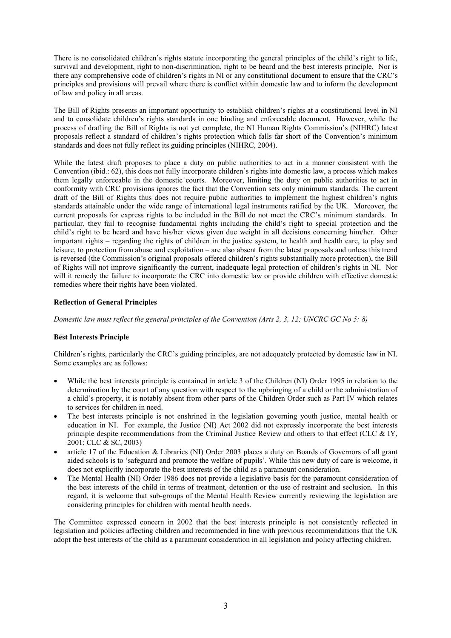There is no consolidated children's rights statute incorporating the general principles of the child's right to life, survival and development, right to non-discrimination, right to be heard and the best interests principle. Nor is there any comprehensive code of children's rights in NI or any constitutional document to ensure that the CRC's principles and provisions will prevail where there is conflict within domestic law and to inform the development of law and policy in all areas.

The Bill of Rights presents an important opportunity to establish children's rights at a constitutional level in NI and to consolidate children's rights standards in one binding and enforceable document. However, while the process of drafting the Bill of Rights is not yet complete, the NI Human Rights Commission's (NIHRC) latest proposals reflect a standard of children's rights protection which falls far short of the Convention's minimum standards and does not fully reflect its guiding principles (NIHRC, 2004).

While the latest draft proposes to place a duty on public authorities to act in a manner consistent with the Convention (ibid.: 62), this does not fully incorporate children's rights into domestic law, a process which makes them legally enforceable in the domestic courts. Moreover, limiting the duty on public authorities to act in conformity with CRC provisions ignores the fact that the Convention sets only minimum standards. The current draft of the Bill of Rights thus does not require public authorities to implement the highest children's rights standards attainable under the wide range of international legal instruments ratified by the UK. Moreover, the current proposals for express rights to be included in the Bill do not meet the CRC's minimum standards. In particular, they fail to recognise fundamental rights including the child's right to special protection and the child's right to be heard and have his/her views given due weight in all decisions concerning him/her. Other important rights – regarding the rights of children in the justice system, to health and health care, to play and leisure, to protection from abuse and exploitation – are also absent from the latest proposals and unless this trend is reversed (the Commission's original proposals offered children's rights substantially more protection), the Bill of Rights will not improve significantly the current, inadequate legal protection of children's rights in NI. Nor will it remedy the failure to incorporate the CRC into domestic law or provide children with effective domestic remedies where their rights have been violated.

#### **Reflection of General Principles**

Domestic law must reflect the general principles of the Convention (Arts 2, 3, 12; UNCRC GC No 5: 8)

#### **Best Interests Principle**

Children's rights, particularly the CRC's guiding principles, are not adequately protected by domestic law in NI. Some examples are as follows:

- While the best interests principle is contained in article 3 of the Children (NI) Order 1995 in relation to the determination by the court of any question with respect to the upbringing of a child or the administration of a child's property, it is notably absent from other parts of the Children Order such as Part IV which relates to services for children in need.
- The best interests principle is not enshrined in the legislation governing youth justice, mental health or education in NI. For example, the Justice (NI) Act 2002 did not expressly incorporate the best interests principle despite recommendations from the Criminal Justice Review and others to that effect (CLC  $\&$  IY, 2001; CLC & SC, 2003)
- article 17 of the Education & Libraries (NI) Order 2003 places a duty on Boards of Governors of all grant aided schools is to 'safeguard and promote the welfare of pupils'. While this new duty of care is welcome, it does not explicitly incorporate the best interests of the child as a paramount consideration.
- The Mental Health (NI) Order 1986 does not provide a legislative basis for the paramount consideration of the best interests of the child in terms of treatment, detention or the use of restraint and seclusion. In this regard, it is welcome that sub-groups of the Mental Health Review currently reviewing the legislation are considering principles for children with mental health needs.

The Committee expressed concern in 2002 that the best interests principle is not consistently reflected in legislation and policies affecting children and recommended in line with previous recommendations that the UK adopt the best interests of the child as a paramount consideration in all legislation and policy affecting children.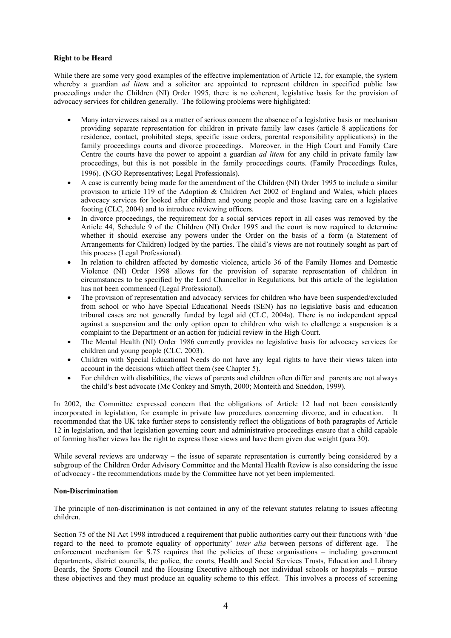#### **Right to be Heard**

While there are some very good examples of the effective implementation of Article 12, for example, the system whereby a guardian *ad litem* and a solicitor are appointed to represent children in specified public law proceedings under the Children (NI) Order 1995, there is no coherent, legislative basis for the provision of advocacy services for children generally. The following problems were highlighted:

- Many interviewees raised as a matter of serious concern the absence of a legislative basis or mechanism providing separate representation for children in private family law cases (article 8 applications for residence, contact, prohibited steps, specific issue orders, parental responsibility applications) in the family proceedings courts and divorce proceedings. Moreover, in the High Court and Family Care Centre the courts have the power to appoint a guardian *ad litem* for any child in private family law proceedings, but this is not possible in the family proceedings courts. (Family Proceedings Rules, 1996). (NGO Representatives; Legal Professionals).
- A case is currently being made for the amendment of the Children (NI) Order 1995 to include a similar provision to article 119 of the Adoption & Children Act 2002 of England and Wales, which places advocacy services for looked after children and young people and those leaving care on a legislative footing (CLC, 2004) and to introduce reviewing officers.
- In divorce proceedings, the requirement for a social services report in all cases was removed by the Article 44, Schedule 9 of the Children (NI) Order 1995 and the court is now required to determine whether it should exercise any powers under the Order on the basis of a form (a Statement of Arrangements for Children) lodged by the parties. The child's views are not routinely sought as part of this process (Legal Professional).
- In relation to children affected by domestic violence, article 36 of the Family Homes and Domestic Violence (NI) Order 1998 allows for the provision of separate representation of children in circumstances to be specified by the Lord Chancellor in Regulations, but this article of the legislation has not been commenced (Legal Professional).
- The provision of representation and advocacy services for children who have been suspended/excluded from school or who have Special Educational Needs (SEN) has no legislative basis and education tribunal cases are not generally funded by legal aid (CLC, 2004a). There is no independent appeal against a suspension and the only option open to children who wish to challenge a suspension is a complaint to the Department or an action for judicial review in the High Court.
- The Mental Health (NI) Order 1986 currently provides no legislative basis for advocacy services for children and young people (CLC, 2003).
- Children with Special Educational Needs do not have any legal rights to have their views taken into account in the decisions which affect them (see Chapter 5).
- For children with disabilities, the views of parents and children often differ and parents are not always  $\bullet$ the child's best advocate (Mc Conkey and Smyth, 2000; Monteith and Sneddon, 1999).

In 2002, the Committee expressed concern that the obligations of Article 12 had not been consistently incorporated in legislation, for example in private law procedures concerning divorce, and in education. It recommended that the UK take further steps to consistently reflect the obligations of both paragraphs of Article 12 in legislation, and that legislation governing court and administrative proceedings ensure that a child capable of forming his/her views has the right to express those views and have them given due weight (para 30).

While several reviews are underway  $-$  the issue of separate representation is currently being considered by a subgroup of the Children Order Advisory Committee and the Mental Health Review is also considering the issue of advocacy - the recommendations made by the Committee have not yet been implemented.

#### **Non-Discrimination**

The principle of non-discrimination is not contained in any of the relevant statutes relating to issues affecting children.

Section 75 of the NI Act 1998 introduced a requirement that public authorities carry out their functions with 'due regard to the need to promote equality of opportunity' *inter alia* between persons of different age. The enforcement mechanism for  $S.75$  requires that the policies of these organisations – including government departments, district councils, the police, the courts. Health and Social Services Trusts, Education and Library Boards, the Sports Council and the Housing Executive although not individual schools or hospitals – pursue these objectives and they must produce an equality scheme to this effect. This involves a process of screening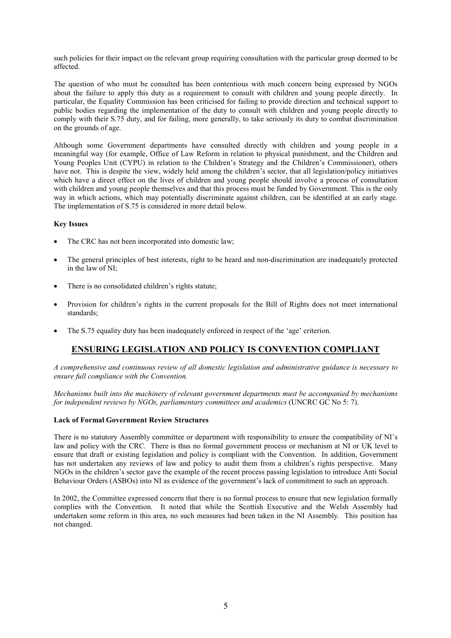such policies for their impact on the relevant group requiring consultation with the particular group deemed to be affected

The question of who must be consulted has been contentious with much concern being expressed by NGOs about the failure to apply this duty as a requirement to consult with children and young people directly. In particular, the Equality Commission has been criticised for failing to provide direction and technical support to public bodies regarding the implementation of the duty to consult with children and young people directly to comply with their S.75 duty, and for failing, more generally, to take seriously its duty to combat discrimination on the grounds of age.

Although some Government departments have consulted directly with children and young people in a meaningful way (for example, Office of Law Reform in relation to physical punishment, and the Children and Young Peoples Unit (CYPU) in relation to the Children's Strategy and the Children's Commissioner), others have not. This is despite the view, widely held among the children's sector, that all legislation/policy initiatives which have a direct effect on the lives of children and young people should involve a process of consultation with children and young people themselves and that this process must be funded by Government. This is the only way in which actions, which may potentially discriminate against children, can be identified at an early stage. The implementation of S.75 is considered in more detail below.

#### **Key Issues**

- The CRC has not been incorporated into domestic law;
- The general principles of best interests, right to be heard and non-discrimination are inadequately protected in the law of NI:
- There is no consolidated children's rights statute;
- Provision for children's rights in the current proposals for the Bill of Rights does not meet international standards:
- The S.75 equality duty has been inadequately enforced in respect of the 'age' criterion.

# **ENSURING LEGISLATION AND POLICY IS CONVENTION COMPLIANT**

A comprehensive and continuous review of all domestic legislation and administrative guidance is necessary to ensure full compliance with the Convention.

Mechanisms built into the machinery of relevant government departments must be accompanied by mechanisms for independent reviews by NGOs, parliamentary committees and academics (UNCRC GC No  $5:7$ ).

#### **Lack of Formal Government Review Structures**

There is no statutory Assembly committee or department with responsibility to ensure the compatibility of NI's law and policy with the CRC. There is thus no formal government process or mechanism at NI or UK level to ensure that draft or existing legislation and policy is compliant with the Convention. In addition, Government has not undertaken any reviews of law and policy to audit them from a children's rights perspective. Many NGOs in the children's sector gave the example of the recent process passing legislation to introduce Anti Social Behaviour Orders (ASBOs) into NI as evidence of the government's lack of commitment to such an approach.

In 2002, the Committee expressed concern that there is no formal process to ensure that new legislation formally complies with the Convention. It noted that while the Scottish Executive and the Welsh Assembly had undertaken some reform in this area, no such measures had been taken in the NI Assembly. This position has not changed.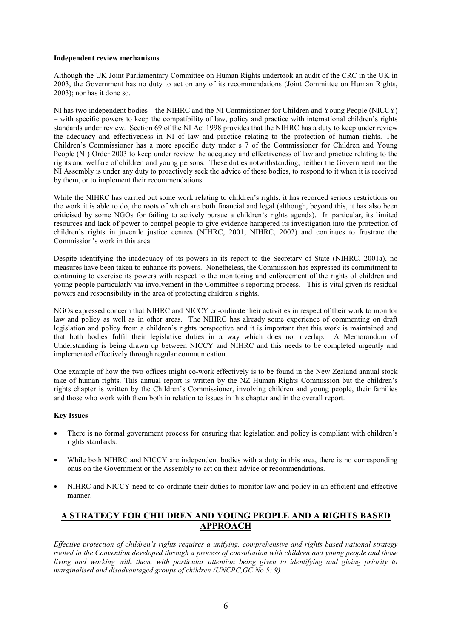#### Independent review mechanisms

Although the UK Joint Parliamentary Committee on Human Rights undertook an audit of the CRC in the UK in 2003, the Government has no duty to act on any of its recommendations (Joint Committee on Human Rights,  $2003$ ; nor has it done so.

NI has two independent bodies – the NIHRC and the NI Commissioner for Children and Young People (NICCY) - with specific powers to keep the compatibility of law, policy and practice with international children's rights standards under review. Section 69 of the NI Act 1998 provides that the NIHRC has a duty to keep under review the adequacy and effectiveness in NI of law and practice relating to the protection of human rights. The Children's Commissioner has a more specific duty under s 7 of the Commissioner for Children and Young People (NI) Order 2003 to keep under review the adequacy and effectiveness of law and practice relating to the rights and welfare of children and young persons. These duties notwithstanding, neither the Government nor the NI Assembly is under any duty to proactively seek the advice of these bodies, to respond to it when it is received by them, or to implement their recommendations.

While the NIHRC has carried out some work relating to children's rights, it has recorded serious restrictions on the work it is able to do, the roots of which are both financial and legal (although, beyond this, it has also been criticised by some NGOs for failing to actively pursue a children's rights agenda). In particular, its limited resources and lack of power to compel people to give evidence hampered its investigation into the protection of children's rights in juvenile justice centres (NIHRC, 2001; NIHRC, 2002) and continues to frustrate the Commission's work in this area.

Despite identifying the inadequacy of its powers in its report to the Secretary of State (NIHRC, 2001a), no measures have been taken to enhance its powers. Nonetheless, the Commission has expressed its commitment to continuing to exercise its powers with respect to the monitoring and enforcement of the rights of children and young people particularly via involvement in the Committee's reporting process. This is vital given its residual powers and responsibility in the area of protecting children's rights.

NGOs expressed concern that NIHRC and NICCY co-ordinate their activities in respect of their work to monitor law and policy as well as in other areas. The NIHRC has already some experience of commenting on draft legislation and policy from a children's rights perspective and it is important that this work is maintained and that both bodies fulfil their legislative duties in a way which does not overlap. A Memorandum of Understanding is being drawn up between NICCY and NIHRC and this needs to be completed urgently and implemented effectively through regular communication.

One example of how the two offices might co-work effectively is to be found in the New Zealand annual stock take of human rights. This annual report is written by the NZ Human Rights Commission but the children's rights chapter is written by the Children's Commissioner, involving children and young people, their families and those who work with them both in relation to issues in this chapter and in the overall report.

#### **Key Issues**

- There is no formal government process for ensuring that legislation and policy is compliant with children's rights standards.
- While both NIHRC and NICCY are independent bodies with a duty in this area, there is no corresponding onus on the Government or the Assembly to act on their advice or recommendations.
- NIHRC and NICCY need to co-ordinate their duties to monitor law and policy in an efficient and effective manner.

## A STRATEGY FOR CHILDREN AND YOUNG PEOPLE AND A RIGHTS BASED **APPROACH**

Effective protection of children's rights requires a unifying, comprehensive and rights based national strategy rooted in the Convention developed through a process of consultation with children and young people and those living and working with them, with particular attention being given to identifying and giving priority to marginalised and disadvantaged groups of children (UNCRC, GC No 5: 9).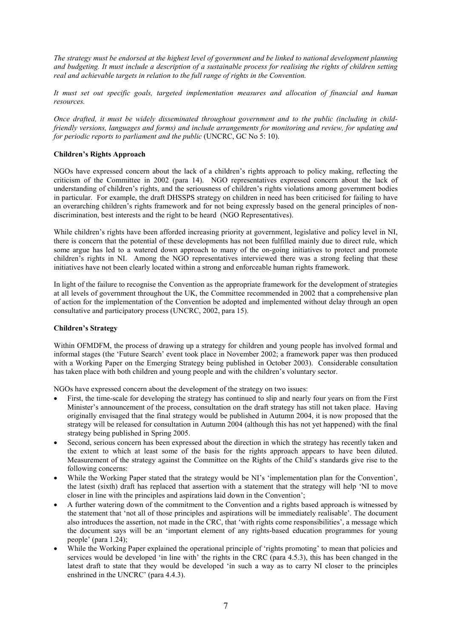The strategy must be endorsed at the highest level of government and be linked to national development planning and budgeting. It must include a description of a sustainable process for realising the rights of children setting real and achievable targets in relation to the full range of rights in the Convention.

It must set out specific goals, targeted implementation measures and allocation of financial and human resources.

Once drafted, it must be widely disseminated throughout government and to the public (including in childfriendly versions, languages and forms) and include arrangements for monitoring and review, for updating and for periodic reports to parliament and the public (UNCRC, GC No 5: 10).

#### **Children's Rights Approach**

NGOs have expressed concern about the lack of a children's rights approach to policy making, reflecting the criticism of the Committee in 2002 (para 14). NGO representatives expressed concern about the lack of understanding of children's rights, and the seriousness of children's rights violations among government bodies in particular. For example, the draft DHSSPS strategy on children in need has been criticised for failing to have an overarching children's rights framework and for not being expressly based on the general principles of nondiscrimination, best interests and the right to be heard (NGO Representatives).

While children's rights have been afforded increasing priority at government, legislative and policy level in NI, there is concern that the potential of these developments has not been fulfilled mainly due to direct rule, which some argue has led to a watered down approach to many of the on-going initiatives to protect and promote children's rights in NI. Among the NGO representatives interviewed there was a strong feeling that these initiatives have not been clearly located within a strong and enforceable human rights framework.

In light of the failure to recognise the Convention as the appropriate framework for the development of strategies at all levels of government throughout the UK, the Committee recommended in 2002 that a comprehensive plan of action for the implementation of the Convention be adopted and implemented without delay through an open consultative and participatory process (UNCRC, 2002, para 15).

#### **Children's Strategy**

Within OFMDFM, the process of drawing up a strategy for children and young people has involved formal and informal stages (the 'Future Search' event took place in November 2002; a framework paper was then produced with a Working Paper on the Emerging Strategy being published in October 2003). Considerable consultation has taken place with both children and young people and with the children's voluntary sector.

NGOs have expressed concern about the development of the strategy on two issues:

- First, the time-scale for developing the strategy has continued to slip and nearly four years on from the First Minister's announcement of the process, consultation on the draft strategy has still not taken place. Having originally envisaged that the final strategy would be published in Autumn 2004, it is now proposed that the strategy will be released for consultation in Autumn 2004 (although this has not yet happened) with the final strategy being published in Spring 2005.
- Second, serious concern has been expressed about the direction in which the strategy has recently taken and the extent to which at least some of the basis for the rights approach appears to have been diluted. Measurement of the strategy against the Committee on the Rights of the Child's standards give rise to the following concerns:
- While the Working Paper stated that the strategy would be NI's 'implementation plan for the Convention', the latest (sixth) draft has replaced that assertion with a statement that the strategy will help 'NI to move closer in line with the principles and aspirations laid down in the Convention':
- A further watering down of the commitment to the Convention and a rights based approach is witnessed by the statement that 'not all of those principles and aspirations will be immediately realisable'. The document also introduces the assertion, not made in the CRC, that 'with rights come responsibilities', a message which the document says will be an 'important element of any rights-based education programmes for young people' (para  $1.24$ );
- While the Working Paper explained the operational principle of 'rights promoting' to mean that policies and services would be developed 'in line with' the rights in the CRC (para 4.5.3), this has been changed in the latest draft to state that they would be developed 'in such a way as to carry NI closer to the principles enshrined in the UNCRC' (para 4.4.3).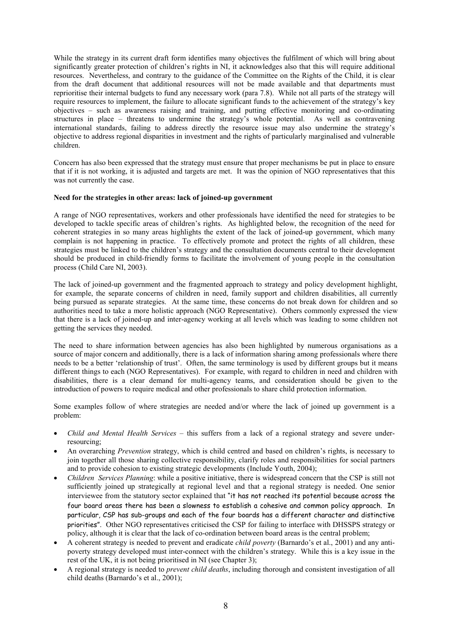While the strategy in its current draft form identifies many objectives the fulfilment of which will bring about significantly greater protection of children's rights in NI, it acknowledges also that this will require additional resources. Nevertheless, and contrary to the guidance of the Committee on the Rights of the Child, it is clear from the draft document that additional resources will not be made available and that departments must reprioritise their internal budgets to fund any necessary work (para 7.8). While not all parts of the strategy will require resources to implement, the failure to allocate significant funds to the achievement of the strategy's key objectives – such as awareness raising and training, and putting effective monitoring and co-ordinating structures in place – threatens to undermine the strategy's whole potential. As well as contravening international standards, failing to address directly the resource issue may also undermine the strategy's objective to address regional disparities in investment and the rights of particularly marginalised and vulnerable children.

Concern has also been expressed that the strategy must ensure that proper mechanisms be put in place to ensure that if it is not working, it is adjusted and targets are met. It was the opinion of NGO representatives that this was not currently the case.

#### Need for the strategies in other areas: lack of ioined-up government

A range of NGO representatives, workers and other professionals have identified the need for strategies to be developed to tackle specific areas of children's rights. As highlighted below, the recognition of the need for coherent strategies in so many areas highlights the extent of the lack of joined-up government, which many complain is not happening in practice. To effectively promote and protect the rights of all children, these strategies must be linked to the children's strategy and the consultation documents central to their development should be produced in child-friendly forms to facilitate the involvement of young people in the consultation process (Child Care NI, 2003).

The lack of joined-up government and the fragmented approach to strategy and policy development highlight, for example, the separate concerns of children in need, family support and children disabilities, all currently being pursued as separate strategies. At the same time, these concerns do not break down for children and so authorities need to take a more holistic approach (NGO Representative). Others commonly expressed the view that there is a lack of joined-up and inter-agency working at all levels which was leading to some children not getting the services they needed.

The need to share information between agencies has also been highlighted by numerous organisations as a source of major concern and additionally, there is a lack of information sharing among professionals where there needs to be a better 'relationship of trust'. Often, the same terminology is used by different groups but it means different things to each (NGO Representatives). For example, with regard to children in need and children with disabilities, there is a clear demand for multi-agency teams, and consideration should be given to the introduction of powers to require medical and other professionals to share child protection information.

Some examples follow of where strategies are needed and/or where the lack of joined up government is a problem<sup>-</sup>

- Child and Mental Health Services this suffers from a lack of a regional strategy and severe underresourcing:
- An overarching *Prevention* strategy, which is child centred and based on children's rights, is necessary to join together all those sharing collective responsibility, clarify roles and responsibilities for social partners and to provide cohesion to existing strategic developments (Include Youth, 2004);
- Children Services Planning: while a positive initiative, there is widespread concern that the CSP is still not sufficiently joined up strategically at regional level and that a regional strategy is needed. One senior interviewee from the statutory sector explained that "it has not reached its potential because across the four board areas there has been a slowness to establish a cohesive and common policy approach. In particular, CSP has sub-groups and each of the four boards has a different character and distinctive priorities". Other NGO representatives criticised the CSP for failing to interface with DHSSPS strategy or policy, although it is clear that the lack of co-ordination between board areas is the central problem;
- A coherent strategy is needed to prevent and eradicate *child poverty* (Barnardo's et al., 2001) and any antipoverty strategy developed must inter-connect with the children's strategy. While this is a key issue in the rest of the UK, it is not being prioritised in NI (see Chapter 3);
- A regional strategy is needed to *prevent child deaths*, including thorough and consistent investigation of all child deaths (Barnardo's et al., 2001);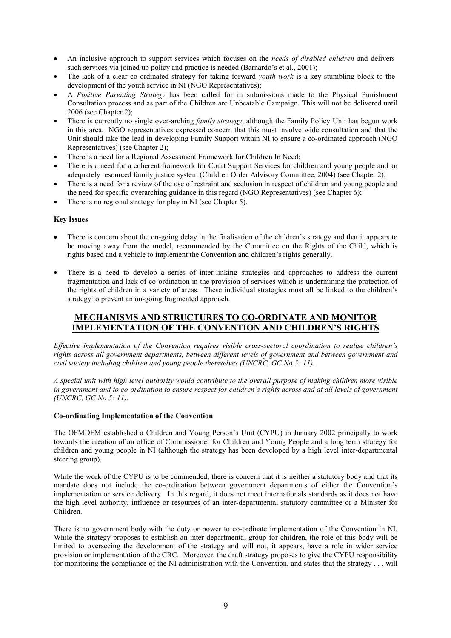- An inclusive approach to support services which focuses on the needs of disabled children and delivers such services via joined up policy and practice is needed (Barnardo's et al., 2001);
- The lack of a clear co-ordinated strategy for taking forward *youth work* is a key stumbling block to the development of the youth service in NI (NGO Representatives);
- A Positive Parenting Strategy has been called for in submissions made to the Physical Punishment Consultation process and as part of the Children are Unbeatable Campaign. This will not be delivered until  $2006$  (see Chapter 2);
- There is currently no single over-arching *family strategy*, although the Family Policy Unit has begun work in this area. NGO representatives expressed concern that this must involve wide consultation and that the Unit should take the lead in developing Family Support within NI to ensure a co-ordinated approach (NGO) Representatives) (see Chapter 2);
- There is a need for a Regional Assessment Framework for Children In Need;
- There is a need for a coherent framework for Court Support Services for children and young people and an adequately resourced family justice system (Children Order Advisory Committee, 2004) (see Chapter 2);
- There is a need for a review of the use of restraint and seclusion in respect of children and young people and the need for specific overarching guidance in this regard (NGO Representatives) (see Chapter 6);
- There is no regional strategy for play in NI (see Chapter 5).

#### **Key Issues**

- There is concern about the on-going delay in the finalisation of the children's strategy and that it appears to be moving away from the model, recommended by the Committee on the Rights of the Child, which is rights based and a vehicle to implement the Convention and children's rights generally.
- There is a need to develop a series of inter-linking strategies and approaches to address the current fragmentation and lack of co-ordination in the provision of services which is undermining the protection of the rights of children in a variety of areas. These individual strategies must all be linked to the children's strategy to prevent an on-going fragmented approach.

## MECHANISMS AND STRUCTURES TO CO-ORDINATE AND MONITOR **IMPLEMENTATION OF THE CONVENTION AND CHILDREN'S RIGHTS**

Effective implementation of the Convention requires visible cross-sectoral coordination to realise children's rights across all government departments, between different levels of government and between government and civil society including children and young people themselves (UNCRC, GC No 5: 11).

A special unit with high level authority would contribute to the overall purpose of making children more visible in government and to co-ordination to ensure respect for children's rights across and at all levels of government (UNCRC,  $GCN$ o 5: 11).

#### **Co-ordinating Implementation of the Convention**

The OFMDFM established a Children and Young Person's Unit (CYPU) in January 2002 principally to work towards the creation of an office of Commissioner for Children and Young People and a long term strategy for children and young people in NI (although the strategy has been developed by a high level inter-departmental steering group).

While the work of the CYPU is to be commended, there is concern that it is neither a statutory body and that its mandate does not include the co-ordination between government departments of either the Convention's implementation or service delivery. In this regard, it does not meet internationals standards as it does not have the high level authority, influence or resources of an inter-departmental statutory committee or a Minister for Children

There is no government body with the duty or power to co-ordinate implementation of the Convention in NI. While the strategy proposes to establish an inter-departmental group for children, the role of this body will be limited to overseeing the development of the strategy and will not, it appears, have a role in wider service provision or implementation of the CRC. Moreover, the draft strategy proposes to give the CYPU responsibility for monitoring the compliance of the NI administration with the Convention, and states that the strategy  $\dots$  will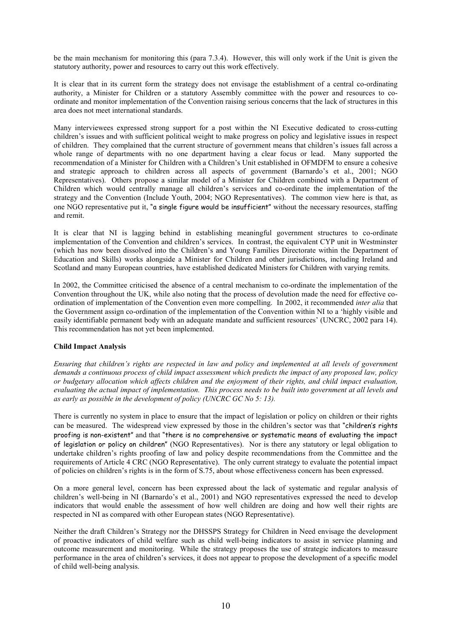be the main mechanism for monitoring this (para 7.3.4). However, this will only work if the Unit is given the statutory authority, power and resources to carry out this work effectively.

It is clear that in its current form the strategy does not envisage the establishment of a central co-ordinating authority, a Minister for Children or a statutory Assembly committee with the power and resources to coordinate and monitor implementation of the Convention raising serious concerns that the lack of structures in this area does not meet international standards.

Many interviewees expressed strong support for a post within the NI Executive dedicated to cross-cutting children's issues and with sufficient political weight to make progress on policy and legislative issues in respect of children. They complained that the current structure of government means that children's issues fall across a whole range of departments with no one department having a clear focus or lead. Many supported the recommendation of a Minister for Children with a Children's Unit established in OFMDFM to ensure a cohesive and strategic approach to children across all aspects of government (Barnardo's et al., 2001; NGO Representatives). Others propose a similar model of a Minister for Children combined with a Department of Children which would centrally manage all children's services and co-ordinate the implementation of the strategy and the Convention (Include Youth, 2004; NGO Representatives). The common view here is that, as one NGO representative put it, "a single figure would be insufficient" without the necessary resources, staffing and remit

It is clear that NI is lagging behind in establishing meaningful government structures to co-ordinate implementation of the Convention and children's services. In contrast, the equivalent CYP unit in Westminster (which has now been dissolved into the Children's and Young Families Directorate within the Department of Education and Skills) works alongside a Minister for Children and other jurisdictions, including Ireland and Scotland and many European countries, have established dedicated Ministers for Children with varying remits.

In 2002, the Committee criticised the absence of a central mechanism to co-ordinate the implementation of the Convention throughout the UK, while also noting that the process of devolution made the need for effective coordination of implementation of the Convention even more compelling. In 2002, it recommended *inter alia* that the Government assign co-ordination of the implementation of the Convention within NI to a 'highly visible and easily identifiable permanent body with an adequate mandate and sufficient resources' (UNCRC, 2002 para 14). This recommendation has not vet been implemented.

#### **Child Impact Analysis**

Ensuring that children's rights are respected in law and policy and implemented at all levels of government demands a continuous process of child impact assessment which predicts the impact of any proposed law, policy or budgetary allocation which affects children and the enjoyment of their rights, and child impact evaluation, evaluating the actual impact of implementation. This process needs to be built into government at all levels and as early as possible in the development of policy (UNCRC GC No 5: 13).

There is currently no system in place to ensure that the impact of legislation or policy on children or their rights can be measured. The widespread view expressed by those in the children's sector was that "children's rights" proofing is non-existent" and that "there is no comprehensive or systematic means of evaluating the impact of legislation or policy on children" (NGO Representatives). Nor is there any statutory or legal obligation to undertake children's rights proofing of law and policy despite recommendations from the Committee and the requirements of Article 4 CRC (NGO Representative). The only current strategy to evaluate the potential impact of policies on children's rights is in the form of S.75, about whose effectiveness concern has been expressed.

On a more general level, concern has been expressed about the lack of systematic and regular analysis of children's well-being in NI (Barnardo's et al., 2001) and NGO representatives expressed the need to develop indicators that would enable the assessment of how well children are doing and how well their rights are respected in NI as compared with other European states (NGO Representative).

Neither the draft Children's Strategy nor the DHSSPS Strategy for Children in Need envisage the development of proactive indicators of child welfare such as child well-being indicators to assist in service planning and outcome measurement and monitoring. While the strategy proposes the use of strategic indicators to measure performance in the area of children's services, it does not appear to propose the development of a specific model of child well-being analysis.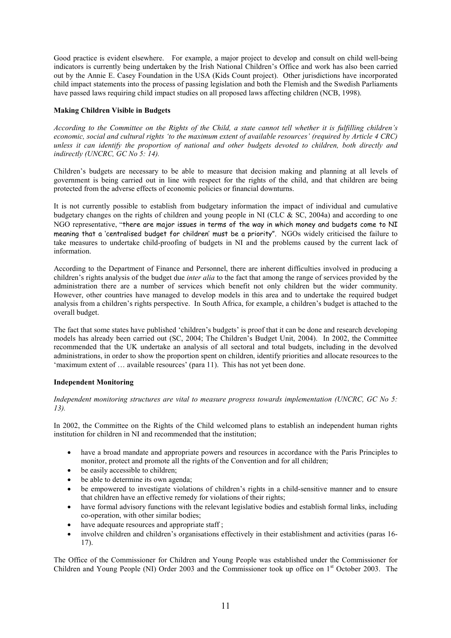Good practice is evident elsewhere. For example, a major project to develop and consult on child well-being indicators is currently being undertaken by the Irish National Children's Office and work has also been carried out by the Annie E. Casey Foundation in the USA (Kids Count project). Other jurisdictions have incorporated child impact statements into the process of passing legislation and both the Flemish and the Swedish Parliaments have passed laws requiring child impact studies on all proposed laws affecting children (NCB, 1998).

#### **Making Children Visible in Budgets**

According to the Committee on the Rights of the Child, a state cannot tell whether it is fulfilling children's economic, social and cultural rights 'to the maximum extent of available resources' (required by Article 4 CRC) unless it can identify the proportion of national and other budgets devoted to children, both directly and indirectly (UNCRC, GC No 5: 14).

Children's budgets are necessary to be able to measure that decision making and planning at all levels of government is being carried out in line with respect for the rights of the child, and that children are being protected from the adverse effects of economic policies or financial downturns.

It is not currently possible to establish from budgetary information the impact of individual and cumulative budgetary changes on the rights of children and young people in NI (CLC  $\&$  SC, 2004a) and according to one NGO representative, "there are major issues in terms of the way in which money and budgets come to NI meaning that a 'centralised budget for children' must be a priority". NGOs widely criticised the failure to take measures to undertake child-proofing of budgets in NI and the problems caused by the current lack of information.

According to the Department of Finance and Personnel, there are inherent difficulties involved in producing a children's rights analysis of the budget due *inter alia* to the fact that among the range of services provided by the administration there are a number of services which benefit not only children but the wider community. However, other countries have managed to develop models in this area and to undertake the required budget analysis from a children's rights perspective. In South Africa, for example, a children's budget is attached to the overall budget.

The fact that some states have published 'children's budgets' is proof that it can be done and research developing models has already been carried out (SC, 2004; The Children's Budget Unit, 2004). In 2002, the Committee recommended that the UK undertake an analysis of all sectoral and total budgets, including in the devolved administrations, in order to show the proportion spent on children, identify priorities and allocate resources to the 'maximum extent of ... available resources' (para 11). This has not yet been done.

#### **Independent Monitoring**

Independent monitoring structures are vital to measure progress towards implementation (UNCRC, GC No 5:  $13)$ .

In 2002, the Committee on the Rights of the Child welcomed plans to establish an independent human rights institution for children in NI and recommended that the institution;

- have a broad mandate and appropriate powers and resources in accordance with the Paris Principles to monitor, protect and promote all the rights of the Convention and for all children;
- $\bullet$  be easily accessible to children:
- be able to determine its own agenda:
- be empowered to investigate violations of children's rights in a child-sensitive manner and to ensure that children have an effective remedy for violations of their rights;
- have formal advisory functions with the relevant legislative bodies and establish formal links, including co-operation, with other similar bodies;
- have adequate resources and appropriate staff;
- involve children and children's organisations effectively in their establishment and activities (paras 16- $17$ ).

The Office of the Commissioner for Children and Young People was established under the Commissioner for Children and Young People (NI) Order 2003 and the Commissioner took up office on 1<sup>st</sup> October 2003. The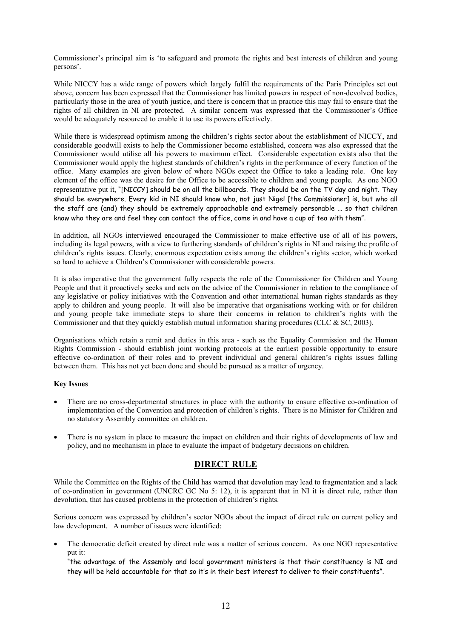Commissioner's principal aim is 'to safeguard and promote the rights and best interests of children and young persons'.

While NICCY has a wide range of powers which largely fulfil the requirements of the Paris Principles set out above, concern has been expressed that the Commissioner has limited powers in respect of non-devolved bodies, particularly those in the area of youth justice, and there is concern that in practice this may fail to ensure that the rights of all children in NI are protected. A similar concern was expressed that the Commissioner's Office would be adequately resourced to enable it to use its powers effectively.

While there is widespread optimism among the children's rights sector about the establishment of NICCY, and considerable goodwill exists to help the Commissioner become established, concern was also expressed that the Commissioner would utilise all his powers to maximum effect. Considerable expectation exists also that the Commissioner would apply the highest standards of children's rights in the performance of every function of the office. Many examples are given below of where NGOs expect the Office to take a leading role. One key element of the office was the desire for the Office to be accessible to children and young people. As one NGO representative put it, "[NICCY] should be on all the billboards. They should be on the TV day and night. They should be everywhere. Every kid in NI should know who, not just Nigel [the Commissioner] is, but who all the staff are (and) they should be extremely approachable and extremely personable ... so that children know who they are and feel they can contact the office, come in and have a cup of tea with them".

In addition, all NGOs interviewed encouraged the Commissioner to make effective use of all of his powers, including its legal powers, with a view to furthering standards of children's rights in NI and raising the profile of children's rights issues. Clearly, enormous expectation exists among the children's rights sector, which worked so hard to achieve a Children's Commissioner with considerable powers.

It is also imperative that the government fully respects the role of the Commissioner for Children and Young People and that it proactively seeks and acts on the advice of the Commissioner in relation to the compliance of any legislative or policy initiatives with the Convention and other international human rights standards as they apply to children and young people. It will also be imperative that organisations working with or for children and young people take immediate steps to share their concerns in relation to children's rights with the Commissioner and that they quickly establish mutual information sharing procedures (CLC  $&$  SC, 2003).

Organisations which retain a remit and duties in this area - such as the Equality Commission and the Human Rights Commission - should establish joint working protocols at the earliest possible opportunity to ensure effective co-ordination of their roles and to prevent individual and general children's rights issues falling between them. This has not yet been done and should be pursued as a matter of urgency.

#### **Key Issues**

- There are no cross-departmental structures in place with the authority to ensure effective co-ordination of implementation of the Convention and protection of children's rights. There is no Minister for Children and no statutory Assembly committee on children.
- There is no system in place to measure the impact on children and their rights of developments of law and policy, and no mechanism in place to evaluate the impact of budgetary decisions on children.

#### **DIRECT RULE**

While the Committee on the Rights of the Child has warned that devolution may lead to fragmentation and a lack of co-ordination in government (UNCRC GC No 5: 12), it is apparent that in NI it is direct rule, rather than devolution, that has caused problems in the protection of children's rights.

Serious concern was expressed by children's sector NGOs about the impact of direct rule on current policy and law development. A number of issues were identified:

The democratic deficit created by direct rule was a matter of serious concern. As one NGO representative put it:

"the advantage of the Assembly and local government ministers is that their constituency is NI and they will be held accountable for that so it's in their best interest to deliver to their constituents".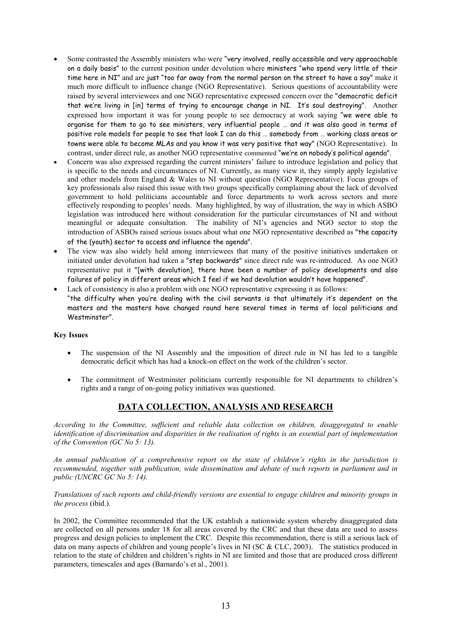- Some contrasted the Assembly ministers who were "very involved, really accessible and very approachable on a daily basis" to the current position under devolution where ministers "who spend very little of their time here in NI" and are just "too far away from the normal person on the street to have a say" make it much more difficult to influence change (NGO Representative). Serious questions of accountability were raised by several interviewees and one NGO representative expressed concern over the "democratic deficit that we're living in [in] terms of trying to encourage change in NI. It's soul destroying". Another expressed how important it was for young people to see democracy at work saying "we were able to organise for them to go to see ministers, very influential people ... and it was also good in terms of positive role models for people to see that look I can do this ... somebody from ... working class areas or towns were able to become MLAs and you know it was very positive that way" (NGO Representative). In contrast, under direct rule, as another NGO representative commented "we're on nobody's political agenda".
- Concern was also expressed regarding the current ministers' failure to introduce legislation and policy that is specific to the needs and circumstances of NI. Currently, as many view it, they simply apply legislative and other models from England & Wales to NI without question (NGO Representative). Focus groups of key professionals also raised this issue with two groups specifically complaining about the lack of devolved government to hold politicians accountable and force departments to work across sectors and more effectively responding to peoples' needs. Many highlighted, by way of illustration, the way in which ASBO legislation was introduced here without consideration for the particular circumstances of NI and without meaningful or adequate consultation. The inability of NI's agencies and NGO sector to stop the introduction of ASBOs raised serious issues about what one NGO representative described as "the capacity of the (youth) sector to access and influence the agenda".
- The view was also widely held among interviewees that many of the positive initiatives undertaken or initiated under devolution had taken a "step backwards" since direct rule was re-introduced. As one NGO representative put it "[with devolution], there have been a number of policy developments and also failures of policy in different areas which I feel if we had devolution wouldn't have happened".
- Lack of consistency is also a problem with one NGO representative expressing it as follows: "the difficulty when you're dealing with the civil servants is that ultimately it's dependent on the masters and the masters have changed round here several times in terms of local politicians and Westminster".

#### **Key Issues**

- The suspension of the NI Assembly and the imposition of direct rule in NI has led to a tangible  $\bullet$ democratic deficit which has had a knock-on effect on the work of the children's sector.
- The commitment of Westminster politicians currently responsible for NI departments to children's  $\bullet$ rights and a range of on-going policy initiatives was questioned.

# DATA COLLECTION, ANALYSIS AND RESEARCH

According to the Committee, sufficient and reliable data collection on children, disaggregated to enable identification of discrimination and disparities in the realisation of rights is an essential part of implementation of the Convention (GC No 5: 13).

An annual publication of a comprehensive report on the state of children's rights in the jurisdiction is recommended, together with publication, wide dissemination and debate of such reports in parliament and in public (UNCRC GC No 5: 14).

#### Translations of such reports and child-friendly versions are essential to engage children and minority groups in *the process* (ibid.).

In 2002, the Committee recommended that the UK establish a nationwide system whereby disaggregated data are collected on all persons under 18 for all areas covered by the CRC and that these data are used to assess progress and design policies to implement the CRC. Despite this recommendation, there is still a serious lack of data on many aspects of children and young people's lives in NI (SC & CLC, 2003). The statistics produced in relation to the state of children and children's rights in NI are limited and those that are produced cross different parameters, timescales and ages (Barnardo's et al., 2001).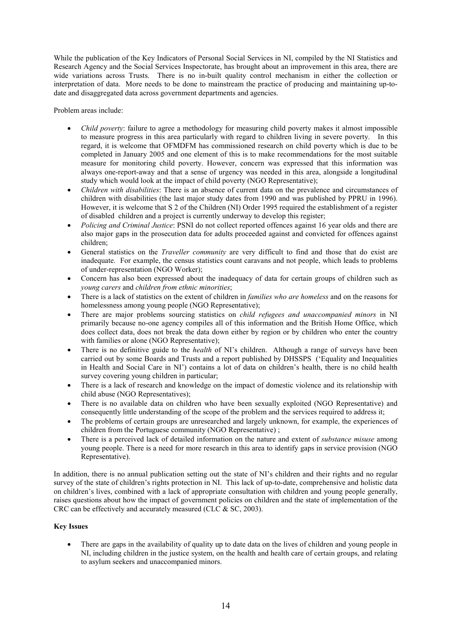While the publication of the Key Indicators of Personal Social Services in NI, compiled by the NI Statistics and Research Agency and the Social Services Inspectorate, has brought about an improvement in this area, there are wide variations across Trusts. There is no in-built quality control mechanism in either the collection or interpretation of data. More needs to be done to mainstream the practice of producing and maintaining up-todate and disaggregated data across government departments and agencies.

Problem areas include:

- Child poverty: failure to agree a methodology for measuring child poverty makes it almost impossible to measure progress in this area particularly with regard to children living in severe poverty. In this regard, it is welcome that OFMDFM has commissioned research on child poverty which is due to be completed in January 2005 and one element of this is to make recommendations for the most suitable measure for monitoring child poverty. However, concern was expressed that this information was always one-report-away and that a sense of urgency was needed in this area, alongside a longitudinal study which would look at the impact of child poverty (NGO Representative);
- Children with disabilities: There is an absence of current data on the prevalence and circumstances of children with disabilities (the last major study dates from 1990 and was published by PPRU in 1996). However, it is welcome that S 2 of the Children (NI) Order 1995 required the establishment of a register of disabled children and a project is currently underway to develop this register;
- Policing and Criminal Justice: PSNI do not collect reported offences against 16 year olds and there are also major gaps in the prosecution data for adults proceeded against and convicted for offences against children:
- General statistics on the *Traveller community* are very difficult to find and those that do exist are inadequate. For example, the census statistics count caravans and not people, which leads to problems of under-representation (NGO Worker);
- Concern has also been expressed about the inadequacy of data for certain groups of children such as young carers and children from ethnic minorities;
- There is a lack of statistics on the extent of children in *families who are homeless* and on the reasons for homelessness among young people (NGO Representative);
- There are major problems sourcing statistics on *child refugees and unaccompanied minors* in NI primarily because no-one agency compiles all of this information and the British Home Office, which does collect data, does not break the data down either by region or by children who enter the country with families or alone (NGO Representative);
- There is no definitive guide to the *health* of NI's children. Although a range of surveys have been carried out by some Boards and Trusts and a report published by DHSSPS ('Equality and Inequalities in Health and Social Care in NI') contains a lot of data on children's health, there is no child health survey covering young children in particular;
- There is a lack of research and knowledge on the impact of domestic violence and its relationship with child abuse (NGO Representatives);
- There is no available data on children who have been sexually exploited (NGO Representative) and consequently little understanding of the scope of the problem and the services required to address it;
- The problems of certain groups are unresearched and largely unknown, for example, the experiences of children from the Portuguese community (NGO Representative);
- There is a perceived lack of detailed information on the nature and extent of *substance misuse* among young people. There is a need for more research in this area to identify gaps in service provision (NGO) Representative).

In addition, there is no annual publication setting out the state of NI's children and their rights and no regular survey of the state of children's rights protection in NI. This lack of up-to-date, comprehensive and holistic data on children's lives, combined with a lack of appropriate consultation with children and young people generally, raises questions about how the impact of government policies on children and the state of implementation of the CRC can be effectively and accurately measured (CLC  $&$  SC, 2003).

#### **Key Issues**

There are gaps in the availability of quality up to date data on the lives of children and young people in  $\bullet$ NI, including children in the justice system, on the health and health care of certain groups, and relating to asylum seekers and unaccompanied minors.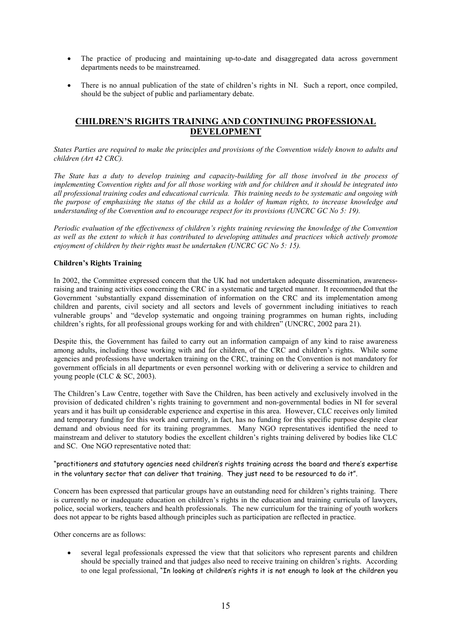- The practice of producing and maintaining up-to-date and disaggregated data across government departments needs to be mainstreamed.
- There is no annual publication of the state of children's rights in NI. Such a report, once compiled, should be the subject of public and parliamentary debate.

## **CHILDREN'S RIGHTS TRAINING AND CONTINUING PROFESSIONAL DEVELOPMENT**

States Parties are required to make the principles and provisions of the Convention widely known to adults and children (Art 42 CRC).

The State has a duty to develop training and capacity-building for all those involved in the process of implementing Convention rights and for all those working with and for children and it should be integrated into all professional training codes and educational curricula. This training needs to be systematic and ongoing with the purpose of emphasising the status of the child as a holder of human rights, to increase knowledge and understanding of the Convention and to encourage respect for its provisions (UNCRC GC No 5: 19).

Periodic evaluation of the effectiveness of children's rights training reviewing the knowledge of the Convention as well as the extent to which it has contributed to developing attitudes and practices which actively promote enjoyment of children by their rights must be undertaken ( $\overline{UNERC}$  GC No 5: 15).

#### **Children's Rights Training**

In 2002, the Committee expressed concern that the UK had not undertaken adequate dissemination, awarenessraising and training activities concerning the CRC in a systematic and targeted manner. It recommended that the Government 'substantially expand dissemination of information on the CRC and its implementation among children and parents, civil society and all sectors and levels of government including initiatives to reach vulnerable groups' and "develop systematic and ongoing training programmes on human rights, including children's rights, for all professional groups working for and with children" (UNCRC, 2002 para 21).

Despite this, the Government has failed to carry out an information campaign of any kind to raise awareness among adults, including those working with and for children, of the CRC and children's rights. While some agencies and professions have undertaken training on the CRC, training on the Convention is not mandatory for government officials in all departments or even personnel working with or delivering a service to children and young people (CLC  $&$  SC, 2003).

The Children's Law Centre, together with Save the Children, has been actively and exclusively involved in the provision of dedicated children's rights training to government and non-governmental bodies in NI for several years and it has built up considerable experience and expertise in this area. However, CLC receives only limited and temporary funding for this work and currently, in fact, has no funding for this specific purpose despite clear demand and obvious need for its training programmes. Many NGO representatives identified the need to mainstream and deliver to statutory bodies the excellent children's rights training delivered by bodies like CLC and SC. One NGO representative noted that:

"practitioners and statutory agencies need children's rights training across the board and there's expertise in the voluntary sector that can deliver that training. They just need to be resourced to do it".

Concern has been expressed that particular groups have an outstanding need for children's rights training. There is currently no or inadequate education on children's rights in the education and training curricula of lawyers. police, social workers, teachers and health professionals. The new curriculum for the training of youth workers does not appear to be rights based although principles such as participation are reflected in practice.

Other concerns are as follows:

several legal professionals expressed the view that that solicitors who represent parents and children should be specially trained and that judges also need to receive training on children's rights. According to one legal professional. "In looking at children's rights it is not enough to look at the children you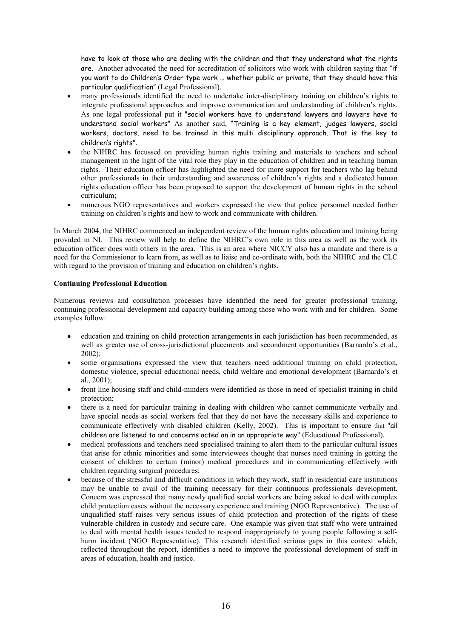have to look at those who are dealing with the children and that they understand what the rights are. Another advocated the need for accreditation of solicitors who work with children saving that "if you want to do Children's Order type work ... whether public or private, that they should have this particular qualification" (Legal Professional).

- many professionals identified the need to undertake inter-disciplinary training on children's rights to integrate professional approaches and improve communication and understanding of children's rights. As one legal professional put it "social workers have to understand lawyers and lawyers have to understand social workers" As another said, "Training is a key element, judges lawyers, social workers, doctors, need to be trained in this multi disciplinary approach. That is the key to children's rights".
- the NIHRC has focussed on providing human rights training and materials to teachers and school management in the light of the vital role they play in the education of children and in teaching human rights. Their education officer has highlighted the need for more support for teachers who lag behind other professionals in their understanding and awareness of children's rights and a dedicated human rights education officer has been proposed to support the development of human rights in the school curriculum;
- numerous NGO representatives and workers expressed the view that police personnel needed further training on children's rights and how to work and communicate with children.

In March 2004, the NIHRC commenced an independent review of the human rights education and training being provided in NI. This review will help to define the NIHRC's own role in this area as well as the work its education officer does with others in the area. This is an area where NICCY also has a mandate and there is a need for the Commissioner to learn from, as well as to liaise and co-ordinate with, both the NIHRC and the CLC with regard to the provision of training and education on children's rights.

#### **Continuing Professional Education**

Numerous reviews and consultation processes have identified the need for greater professional training, continuing professional development and capacity building among those who work with and for children. Some examples follow:

- education and training on child protection arrangements in each jurisdiction has been recommended, as well as greater use of cross-jurisdictional placements and secondment opportunities (Barnardo's et al.,  $2002$ :
- some organisations expressed the view that teachers need additional training on child protection, domestic violence, special educational needs, child welfare and emotional development (Barnardo's et al.,  $2001$ );
- front line housing staff and child-minders were identified as those in need of specialist training in child protection:
- there is a need for particular training in dealing with children who cannot communicate verbally and have special needs as social workers feel that they do not have the necessary skills and experience to communicate effectively with disabled children (Kelly, 2002). This is important to ensure that "all children are listened to and concerns acted on in an appropriate way" (Educational Professional).
- medical professions and teachers need specialised training to alert them to the particular cultural issues that arise for ethnic minorities and some interviewees thought that nurses need training in getting the consent of children to certain (minor) medical procedures and in communicating effectively with children regarding surgical procedures;
- because of the stressful and difficult conditions in which they work, staff in residential care institutions may be unable to avail of the training necessary for their continuous professionals development. Concern was expressed that many newly qualified social workers are being asked to deal with complex child protection cases without the necessary experience and training (NGO Representative). The use of unqualified staff raises very serious issues of child protection and protection of the rights of these vulnerable children in custody and secure care. One example was given that staff who were untrained to deal with mental health issues tended to respond inappropriately to young people following a selfharm incident (NGO Representative). This research identified serious gaps in this context which, reflected throughout the report, identifies a need to improve the professional development of staff in areas of education, health and justice.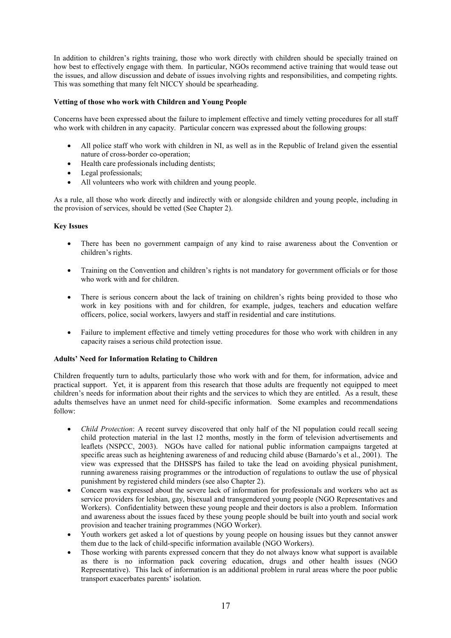In addition to children's rights training, those who work directly with children should be specially trained on how best to effectively engage with them. In particular, NGOs recommend active training that would tease out the issues, and allow discussion and debate of issues involving rights and responsibilities, and competing rights. This was something that many felt NICCY should be spearheading.

#### Vetting of those who work with Children and Young People

Concerns have been expressed about the failure to implement effective and timely vetting procedures for all staff who work with children in any capacity. Particular concern was expressed about the following groups:

- All police staff who work with children in NI, as well as in the Republic of Ireland given the essential nature of cross-border co-operation;
- Health care professionals including dentists;
- Legal professionals;
- All volunteers who work with children and young people.

As a rule, all those who work directly and indirectly with or alongside children and young people, including in the provision of services, should be vetted (See Chapter 2).

#### **Key Issues**

- There has been no government campaign of any kind to raise awareness about the Convention or children's rights.
- Training on the Convention and children's rights is not mandatory for government officials or for those  $\bullet$ who work with and for children.
- There is serious concern about the lack of training on children's rights being provided to those who work in key positions with and for children, for example, judges, teachers and education welfare officers, police, social workers, lawyers and staff in residential and care institutions.
- Failure to implement effective and timely vetting procedures for those who work with children in any capacity raises a serious child protection issue.

#### **Adults' Need for Information Relating to Children**

Children frequently turn to adults, particularly those who work with and for them, for information, advice and practical support. Yet, it is apparent from this research that those adults are frequently not equipped to meet children's needs for information about their rights and the services to which they are entitled. As a result, these adults themselves have an unmet need for child-specific information. Some examples and recommendations follow:

- *Child Protection:* A recent survey discovered that only half of the NI population could recall seeing child protection material in the last 12 months, mostly in the form of television advertisements and leaflets (NSPCC, 2003). NGOs have called for national public information campaigns targeted at specific areas such as heightening awareness of and reducing child abuse (Barnardo's et al., 2001). The view was expressed that the DHSSPS has failed to take the lead on avoiding physical punishment, running awareness raising programmes or the introduction of regulations to outlaw the use of physical punishment by registered child minders (see also Chapter 2).
- Concern was expressed about the severe lack of information for professionals and workers who act as service providers for lesbian, gay, bisexual and transgendered young people (NGO Representatives and Workers). Confidentiality between these young people and their doctors is also a problem. Information and awareness about the issues faced by these young people should be built into youth and social work provision and teacher training programmes (NGO Worker).
- Youth workers get asked a lot of questions by young people on housing issues but they cannot answer them due to the lack of child-specific information available (NGO Workers).
- Those working with parents expressed concern that they do not always know what support is available as there is no information pack covering education, drugs and other health issues (NGO Representative). This lack of information is an additional problem in rural areas where the poor public transport exacerbates parents' isolation.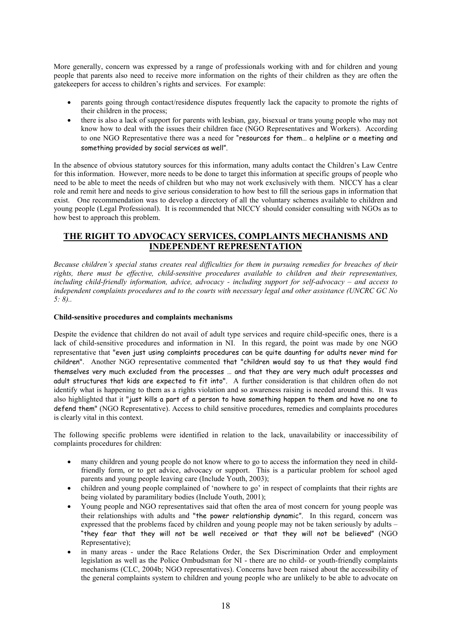More generally, concern was expressed by a range of professionals working with and for children and young people that parents also need to receive more information on the rights of their children as they are often the gatekeepers for access to children's rights and services. For example:

- parents going through contact/residence disputes frequently lack the capacity to promote the rights of their children in the process;
- there is also a lack of support for parents with lesbian, gay, bisexual or trans young people who may not know how to deal with the issues their children face (NGO Representatives and Workers). According to one NGO Representative there was a need for "resources for them... a helpline or a meeting and something provided by social services as well".

In the absence of obvious statutory sources for this information, many adults contact the Children's Law Centre for this information. However, more needs to be done to target this information at specific groups of people who need to be able to meet the needs of children but who may not work exclusively with them. NICCY has a clear role and remit here and needs to give serious consideration to how best to fill the serious gaps in information that exist. One recommendation was to develop a directory of all the voluntary schemes available to children and young people (Legal Professional). It is recommended that NICCY should consider consulting with NGOs as to how best to approach this problem.

## THE RIGHT TO ADVOCACY SERVICES, COMPLAINTS MECHANISMS AND **INDEPENDENT REPRESENTATION**

Because children's special status creates real difficulties for them in pursuing remedies for breaches of their rights, there must be effective, child-sensitive procedures available to children and their representatives, including child-friendly information, advice, advocacy - including support for self-advocacy – and access to independent complaints procedures and to the courts with necessary legal and other assistance (UNCRC GC No  $5: 8$ .

#### Child-sensitive procedures and complaints mechanisms

Despite the evidence that children do not avail of adult type services and require child-specific ones, there is a lack of child-sensitive procedures and information in NI. In this regard, the point was made by one NGO representative that "even just using complaints procedures can be quite daunting for adults never mind for children". Another NGO representative commented that "children would say to us that they would find themselves very much excluded from the processes ... and that they are very much adult processes and adult structures that kids are expected to fit into". A further consideration is that children often do not identify what is happening to them as a rights violation and so awareness raising is needed around this. It was also highlighted that it "just kills a part of a person to have something happen to them and have no one to defend them" (NGO Representative). Access to child sensitive procedures, remedies and complaints procedures is clearly vital in this context.

The following specific problems were identified in relation to the lack, unavailability or inaccessibility of complaints procedures for children:

- many children and young people do not know where to go to access the information they need in childfriendly form, or to get advice, advocacy or support. This is a particular problem for school aged parents and young people leaving care (Include Youth, 2003);
- children and young people complained of 'nowhere to go' in respect of complaints that their rights are being violated by paramilitary bodies (Include Youth, 2001);
- Young people and NGO representatives said that often the area of most concern for young people was their relationships with adults and "the power relationship dynamic". In this regard, concern was expressed that the problems faced by children and young people may not be taken seriously by adults -"they fear that they will not be well received or that they will not be believed" (NGO Representative);
- in many areas under the Race Relations Order, the Sex Discrimination Order and employment legislation as well as the Police Ombudsman for NI - there are no child- or youth-friendly complaints mechanisms (CLC, 2004b; NGO representatives). Concerns have been raised about the accessibility of the general complaints system to children and young people who are unlikely to be able to advocate on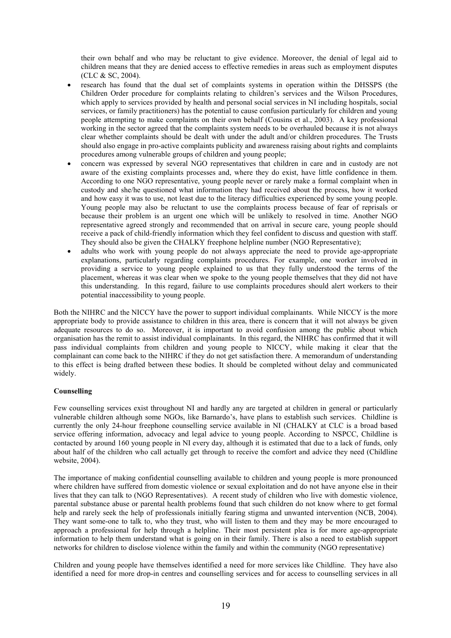their own behalf and who may be reluctant to give evidence. Moreover, the denial of legal aid to children means that they are denied access to effective remedies in areas such as employment disputes (CLC & SC, 2004).

- research has found that the dual set of complaints systems in operation within the DHSSPS (the Children Order procedure for complaints relating to children's services and the Wilson Procedures, which apply to services provided by health and personal social services in NI including hospitals, social services, or family practitioners) has the potential to cause confusion particularly for children and young people attempting to make complaints on their own behalf (Cousins et al., 2003). A key professional working in the sector agreed that the complaints system needs to be overhauled because it is not always clear whether complaints should be dealt with under the adult and/or children procedures. The Trusts should also engage in pro-active complaints publicity and awareness raising about rights and complaints procedures among vulnerable groups of children and young people;
- concern was expressed by several NGO representatives that children in care and in custody are not aware of the existing complaints processes and, where they do exist, have little confidence in them. According to one NGO representative, young people never or rarely make a formal complaint when in custody and she/he questioned what information they had received about the process, how it worked and how easy it was to use, not least due to the literacy difficulties experienced by some young people. Young people may also be reluctant to use the complaints process because of fear of reprisals or because their problem is an urgent one which will be unlikely to resolved in time. Another NGO representative agreed strongly and recommended that on arrival in secure care, young people should receive a pack of child-friendly information which they feel confident to discuss and question with staff. They should also be given the CHALKY freephone helpline number (NGO Representative);
- adults who work with young people do not always appreciate the need to provide age-appropriate explanations, particularly regarding complaints procedures. For example, one worker involved in providing a service to young people explained to us that they fully understood the terms of the placement, whereas it was clear when we spoke to the young people themselves that they did not have this understanding. In this regard, failure to use complaints procedures should alert workers to their potential inaccessibility to young people.

Both the NIHRC and the NICCY have the power to support individual complainants. While NICCY is the more appropriate body to provide assistance to children in this area, there is concern that it will not always be given adequate resources to do so. Moreover, it is important to avoid confusion among the public about which organisation has the remit to assist individual complainants. In this regard, the NIHRC has confirmed that it will pass individual complaints from children and young people to NICCY, while making it clear that the complainant can come back to the NIHRC if they do not get satisfaction there. A memorandum of understanding to this effect is being drafted between these bodies. It should be completed without delay and communicated widely.

#### Counselling

Few counselling services exist throughout NI and hardly any are targeted at children in general or particularly vulnerable children although some NGOs, like Barnardo's, have plans to establish such services. Childline is currently the only 24-hour freephone counselling service available in NI (CHALKY at CLC is a broad based service offering information, advocacy and legal advice to young people. According to NSPCC, Childline is contacted by around 160 young people in NI every day, although it is estimated that due to a lack of funds, only about half of the children who call actually get through to receive the comfort and advice they need (Childline website, 2004).

The importance of making confidential counselling available to children and young people is more pronounced where children have suffered from domestic violence or sexual exploitation and do not have anyone else in their lives that they can talk to (NGO Representatives). A recent study of children who live with domestic violence. parental substance abuse or parental health problems found that such children do not know where to get formal help and rarely seek the help of professionals initially fearing stigma and unwanted intervention (NCB, 2004). They want some-one to talk to, who they trust, who will listen to them and they may be more encouraged to approach a professional for help through a helpline. Their most persistent plea is for more age-appropriate information to help them understand what is going on in their family. There is also a need to establish support networks for children to disclose violence within the family and within the community (NGO representative)

Children and young people have themselves identified a need for more services like Childline. They have also identified a need for more drop-in centres and counselling services and for access to counselling services in all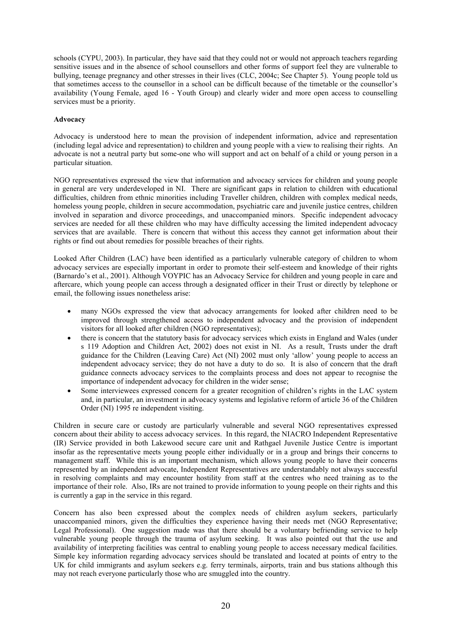schools (CYPU, 2003). In particular, they have said that they could not or would not approach teachers regarding sensitive issues and in the absence of school counsellors and other forms of support feel they are vulnerable to bullying, teenage pregnancy and other stresses in their lives (CLC, 2004c; See Chapter 5). Young people told us that sometimes access to the counsellor in a school can be difficult because of the timetable or the counsellor's availability (Young Female, aged 16 - Youth Group) and clearly wider and more open access to counselling services must be a priority.

#### **Advocacy**

Advocacy is understood here to mean the provision of independent information, advice and representation (including legal advice and representation) to children and young people with a view to realising their rights. An advocate is not a neutral party but some-one who will support and act on behalf of a child or young person in a particular situation.

NGO representatives expressed the view that information and advocacy services for children and young people in general are very underdeveloped in NI. There are significant gaps in relation to children with educational difficulties, children from ethnic minorities including Traveller children, children with complex medical needs, homeless young people, children in secure accommodation, psychiatric care and juvenile justice centres, children involved in separation and divorce proceedings, and unaccompanied minors. Specific independent advocacy services are needed for all these children who may have difficulty accessing the limited independent advocacy services that are available. There is concern that without this access they cannot get information about their rights or find out about remedies for possible breaches of their rights.

Looked After Children (LAC) have been identified as a particularly vulnerable category of children to whom advocacy services are especially important in order to promote their self-esteem and knowledge of their rights (Barnardo's et al., 2001). Although VOYPIC has an Advocacy Service for children and young people in care and aftercare, which young people can access through a designated officer in their Trust or directly by telephone or email, the following issues nonetheless arise:

- many NGOs expressed the view that advocacy arrangements for looked after children need to be improved through strengthened access to independent advocacy and the provision of independent visitors for all looked after children (NGO representatives);
- there is concern that the statutory basis for advocacy services which exists in England and Wales (under s 119 Adoption and Children Act, 2002) does not exist in NI. As a result. Trusts under the draft guidance for the Children (Leaving Care) Act (NI) 2002 must only 'allow' young people to access an independent advocacy service; they do not have a duty to do so. It is also of concern that the draft guidance connects advocacy services to the complaints process and does not appear to recognise the importance of independent advocacy for children in the wider sense;
- Some interviewees expressed concern for a greater recognition of children's rights in the LAC system and, in particular, an investment in advocacy systems and legislative reform of article 36 of the Children Order (NI) 1995 re independent visiting.

Children in secure care or custody are particularly vulnerable and several NGO representatives expressed concern about their ability to access advocacy services. In this regard, the NIACRO Independent Representative (IR) Service provided in both Lakewood secure care unit and Rathgael Juvenile Justice Centre is important insofar as the representative meets young people either individually or in a group and brings their concerns to management staff. While this is an important mechanism, which allows young people to have their concerns represented by an independent advocate, Independent Representatives are understandably not always successful in resolving complaints and may encounter hostility from staff at the centres who need training as to the importance of their role. Also, IRs are not trained to provide information to young people on their rights and this is currently a gap in the service in this regard.

Concern has also been expressed about the complex needs of children asylum seekers, particularly unaccompanied minors, given the difficulties they experience having their needs met (NGO Representative; Legal Professional). One suggestion made was that there should be a voluntary befriending service to help vulnerable young people through the trauma of asylum seeking. It was also pointed out that the use and availability of interpreting facilities was central to enabling young people to access necessary medical facilities. Simple key information regarding advocacy services should be translated and located at points of entry to the UK for child immigrants and asylum seekers e.g. ferry terminals, airports, train and bus stations although this may not reach everyone particularly those who are smuggled into the country.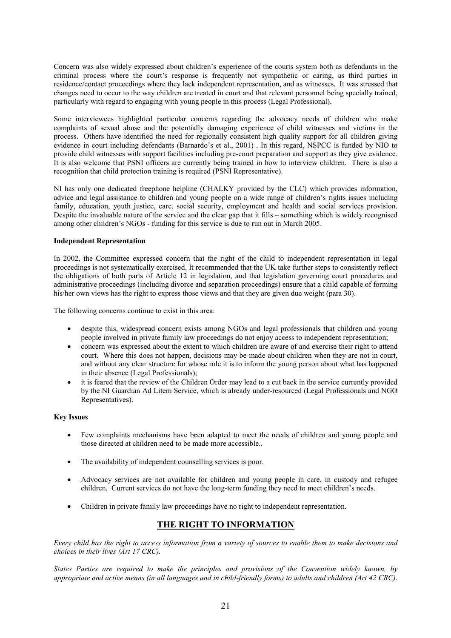Concern was also widely expressed about children's experience of the courts system both as defendants in the criminal process where the court's response is frequently not sympathetic or caring, as third parties in residence/contact proceedings where they lack independent representation, and as witnesses. It was stressed that changes need to occur to the way children are treated in court and that relevant personnel being specially trained, particularly with regard to engaging with young people in this process (Legal Professional).

Some interviewees highlighted particular concerns regarding the advocacy needs of children who make complaints of sexual abuse and the potentially damaging experience of child witnesses and victims in the process. Others have identified the need for regionally consistent high quality support for all children giving evidence in court including defendants (Barnardo's et al., 2001). In this regard, NSPCC is funded by NIO to provide child witnesses with support facilities including pre-court preparation and support as they give evidence. It is also welcome that PSNI officers are currently being trained in how to interview children. There is also a recognition that child protection training is required (PSNI Representative).

NI has only one dedicated freephone helpline (CHALKY provided by the CLC) which provides information, advice and legal assistance to children and young people on a wide range of children's rights issues including family, education, youth justice, care, social security, employment and health and social services provision. Despite the invaluable nature of the service and the clear gap that it fills – something which is widely recognised among other children's NGOs - funding for this service is due to run out in March 2005.

#### **Independent Representation**

In 2002, the Committee expressed concern that the right of the child to independent representation in legal proceedings is not systematically exercised. It recommended that the UK take further steps to consistently reflect the obligations of both parts of Article 12 in legislation, and that legislation governing court procedures and administrative proceedings (including divorce and separation proceedings) ensure that a child capable of forming his/her own views has the right to express those views and that they are given due weight (para 30).

The following concerns continue to exist in this area:

- despite this, widespread concern exists among NGOs and legal professionals that children and young  $\bullet$ people involved in private family law proceedings do not enjoy access to independent representation;
- concern was expressed about the extent to which children are aware of and exercise their right to attend court. Where this does not happen, decisions may be made about children when they are not in court, and without any clear structure for whose role it is to inform the young person about what has happened in their absence (Legal Professionals);
- it is feared that the review of the Children Order may lead to a cut back in the service currently provided by the NI Guardian Ad Litem Service, which is already under-resourced (Legal Professionals and NGO Representatives).

#### **Key Issues**

- Few complaints mechanisms have been adapted to meet the needs of children and young people and those directed at children need to be made more accessible...
- The availability of independent counselling services is poor.
- Advocacy services are not available for children and young people in care, in custody and refugee  $\bullet$ children. Current services do not have the long-term funding they need to meet children's needs.
- Children in private family law proceedings have no right to independent representation.

## THE RIGHT TO INFORMATION

Every child has the right to access information from a variety of sources to enable them to make decisions and choices in their lives (Art 17 CRC).

States Parties are required to make the principles and provisions of the Convention widely known, by appropriate and active means (in all languages and in child-friendly forms) to adults and children (Art 42 CRC).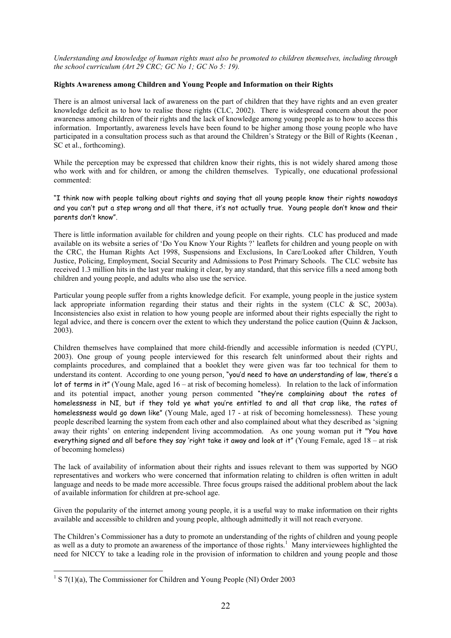Understanding and knowledge of human rights must also be promoted to children themselves, including through the school curriculum (Art 29 CRC; GC No 1; GC No 5: 19).

#### Rights Awareness among Children and Young People and Information on their Rights

There is an almost universal lack of awareness on the part of children that they have rights and an even greater knowledge deficit as to how to realise those rights (CLC, 2002). There is widespread concern about the poor awareness among children of their rights and the lack of knowledge among young people as to how to access this information. Importantly, awareness levels have been found to be higher among those young people who have participated in a consultation process such as that around the Children's Strategy or the Bill of Rights (Keenan, SC et al., forthcoming).

While the perception may be expressed that children know their rights, this is not widely shared among those who work with and for children, or among the children themselves. Typically, one educational professional commented:

"I think now with people talking about rights and saying that all young people know their rights nowadays and you can't put a step wrong and all that there, it's not actually true. Young people don't know and their parents don't know".

There is little information available for children and young people on their rights. CLC has produced and made available on its website a series of 'Do You Know Your Rights ?' leaflets for children and young people on with the CRC, the Human Rights Act 1998, Suspensions and Exclusions, In Care/Looked after Children, Youth Justice, Policing, Employment, Social Security and Admissions to Post Primary Schools. The CLC website has received 1.3 million hits in the last year making it clear, by any standard, that this service fills a need among both children and young people, and adults who also use the service.

Particular young people suffer from a rights knowledge deficit. For example, young people in the justice system lack appropriate information regarding their status and their rights in the system (CLC & SC, 2003a). Inconsistencies also exist in relation to how young people are informed about their rights especially the right to legal advice, and there is concern over the extent to which they understand the police caution (Quinn & Jackson,  $2003$ ).

Children themselves have complained that more child-friendly and accessible information is needed (CYPU, 2003). One group of young people interviewed for this research felt uninformed about their rights and complaints procedures, and complained that a booklet they were given was far too technical for them to understand its content. According to one young person, "you'd need to have an understanding of law, there's a lot of terms in it" (Young Male, aged  $16 - at$  risk of becoming homeless). In relation to the lack of information and its potential impact, another young person commented "they're complaining about the rates of homelessness in NI, but if they told ye what you're entitled to and all that crap like, the rates of homelessness would go down like" (Young Male, aged 17 - at risk of becoming homelessness). These young people described learning the system from each other and also complained about what they described as 'signing away their rights' on entering independent living accommodation. As one young woman put it "You have everything signed and all before they say 'right take it away and look at it" (Young Female, aged  $18 - at$  risk of becoming homeless)

The lack of availability of information about their rights and issues relevant to them was supported by NGO representatives and workers who were concerned that information relating to children is often written in adult language and needs to be made more accessible. Three focus groups raised the additional problem about the lack of available information for children at pre-school age.

Given the popularity of the internet among young people, it is a useful way to make information on their rights available and accessible to children and young people, although admittedly it will not reach everyone.

The Children's Commissioner has a duty to promote an understanding of the rights of children and young people as well as a duty to promote an awareness of the importance of those rights.<sup>1</sup> Many interviewees highlighted the need for NICCY to take a leading role in the provision of information to children and young people and those

<sup>&</sup>lt;sup>1</sup> S  $7(1)(a)$ . The Commissioner for Children and Young People (NI) Order 2003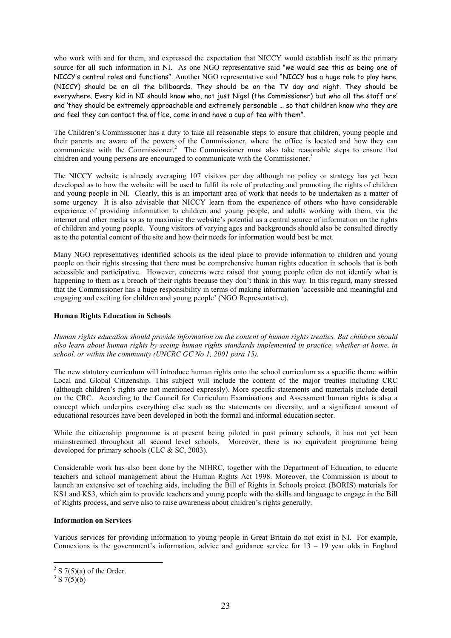who work with and for them, and expressed the expectation that NICCY would establish itself as the primary source for all such information in NI. As one NGO representative said "we would see this as being one of NICCY's central roles and functions". Another NGO representative said "NICCY has a huge role to play here. (NICCY) should be on all the billboards. They should be on the TV day and night. They should be everywhere. Every kid in NI should know who, not just Nigel (the Commissioner) but who all the staff are' and 'they should be extremely approachable and extremely personable ... so that children know who they are and feel they can contact the office, come in and have a cup of tea with them".

The Children's Commissioner has a duty to take all reasonable steps to ensure that children, young people and their parents are aware of the powers of the Commissioner, where the office is located and how they can communicate with the Commissioner.<sup>2</sup> The Commissioner must also take reasonable steps to ensure that children and young persons are encouraged to communicate with the Commissioner.<sup>3</sup>

The NICCY website is already averaging 107 visitors per day although no policy or strategy has yet been developed as to how the website will be used to fulfil its role of protecting and promoting the rights of children and young people in NI. Clearly, this is an important area of work that needs to be undertaken as a matter of some urgency It is also advisable that NICCY learn from the experience of others who have considerable experience of providing information to children and young people, and adults working with them, via the internet and other media so as to maximise the website's potential as a central source of information on the rights of children and young people. Young visitors of varying ages and backgrounds should also be consulted directly as to the potential content of the site and how their needs for information would best be met.

Many NGO representatives identified schools as the ideal place to provide information to children and young people on their rights stressing that there must be comprehensive human rights education in schools that is both accessible and participative. However, concerns were raised that young people often do not identify what is happening to them as a breach of their rights because they don't think in this way. In this regard, many stressed that the Commissioner has a huge responsibility in terms of making information 'accessible and meaningful and engaging and exciting for children and young people' (NGO Representative).

#### **Human Rights Education in Schools**

Human rights education should provide information on the content of human rights treaties. But children should also learn about human rights by seeing human rights standards implemented in practice, whether at home, in school, or within the community (UNCRC GC No 1, 2001 para 15).

The new statutory curriculum will introduce human rights onto the school curriculum as a specific theme within Local and Global Citizenship. This subject will include the content of the major treaties including CRC (although children's rights are not mentioned expressly). More specific statements and materials include detail on the CRC. According to the Council for Curriculum Examinations and Assessment human rights is also a concept which underpins everything else such as the statements on diversity, and a significant amount of educational resources have been developed in both the formal and informal education sector.

While the citizenship programme is at present being piloted in post primary schools, it has not yet been mainstreamed throughout all second level schools. Moreover, there is no equivalent programme being developed for primary schools (CLC  $&$  SC, 2003).

Considerable work has also been done by the NIHRC, together with the Department of Education, to educate teachers and school management about the Human Rights Act 1998. Moreover, the Commission is about to launch an extensive set of teaching aids, including the Bill of Rights in Schools project (BORIS) materials for KS1 and KS3, which aim to provide teachers and young people with the skills and language to engage in the Bill of Rights process, and serve also to raise awareness about children's rights generally.

#### **Information on Services**

Various services for providing information to young people in Great Britain do not exist in NI. For example, Connexions is the government's information, advice and guidance service for  $13 - 19$  year olds in England

 $2 \text{ S } 7(5)(a)$  of the Order

 $3 \times 7(5)$ (b)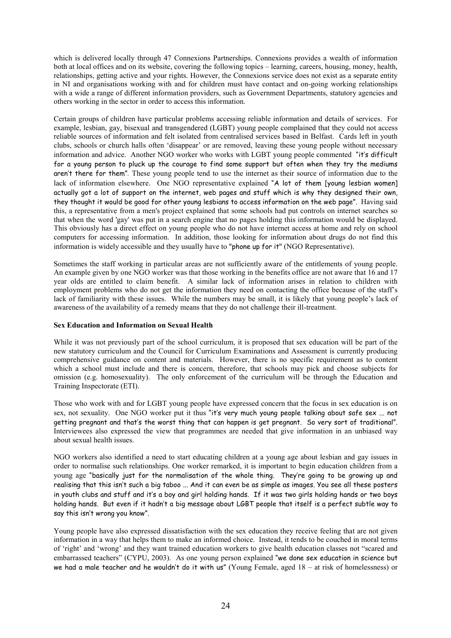which is delivered locally through 47 Connexions Partnerships. Connexions provides a wealth of information both at local offices and on its website, covering the following topics – learning, careers, housing, money, health, relationships, getting active and your rights. However, the Connexions service does not exist as a separate entity in NI and organisations working with and for children must have contact and on-going working relationships with a wide a range of different information providers, such as Government Departments, statutory agencies and others working in the sector in order to access this information.

Certain groups of children have particular problems accessing reliable information and details of services. For example, lesbian, gay, bisexual and transgendered (LGBT) young people complained that they could not access reliable sources of information and felt isolated from centralised services based in Belfast. Cards left in youth clubs, schools or church halls often 'disappear' or are removed, leaving these young people without necessary information and advice. Another NGO worker who works with LGBT voung people commented "it's difficult for a young person to pluck up the courage to find some support but often when they try the mediums aren't there for them". These young people tend to use the internet as their source of information due to the lack of information elsewhere. One NGO representative explained "A lot of them [young lesbian women] actually got a lot of support on the internet, web pages and stuff which is why they designed their own, they thought it would be good for other young lesbians to access information on the web page". Having said this, a representative from a men's project explained that some schools had put controls on internet searches so that when the word 'gay' was put in a search engine that no pages holding this information would be displayed. This obviously has a direct effect on young people who do not have internet access at home and rely on school computers for accessing information. In addition, those looking for information about drugs do not find this information is widely accessible and they usually have to "phone up for it" (NGO Representative).

Sometimes the staff working in particular areas are not sufficiently aware of the entitlements of young people. An example given by one NGO worker was that those working in the benefits office are not aware that 16 and 17 year olds are entitled to claim benefit. A similar lack of information arises in relation to children with employment problems who do not get the information they need on contacting the office because of the staff's lack of familiarity with these issues. While the numbers may be small, it is likely that young people's lack of awareness of the availability of a remedy means that they do not challenge their ill-treatment.

#### **Sex Education and Information on Sexual Health**

While it was not previously part of the school curriculum, it is proposed that sex education will be part of the new statutory curriculum and the Council for Curriculum Examinations and Assessment is currently producing comprehensive guidance on content and materials. However, there is no specific requirement as to content which a school must include and there is concern, therefore, that schools may pick and choose subjects for omission (e.g. homosexuality). The only enforcement of the curriculum will be through the Education and Training Inspectorate (ETI).

Those who work with and for LGBT young people have expressed concern that the focus in sex education is on sex, not sexuality. One NGO worker put it thus "it's very much young people talking about safe sex ... not getting pregnant and that's the worst thing that can happen is get pregnant. So very sort of traditional". Interviewees also expressed the view that programmes are needed that give information in an unbiased way about sexual health issues.

NGO workers also identified a need to start educating children at a young age about lesbian and gay issues in order to normalise such relationships. One worker remarked, it is important to begin education children from a young age "basically just for the normalisation of the whole thing. They're going to be growing up and realising that this isn't such a big taboo ... And it can even be as simple as images. You see all these posters in youth clubs and stuff and it's a boy and girl holding hands. If it was two girls holding hands or two boys holding hands. But even if it hadn't a big message about LGBT people that itself is a perfect subtle way to say this isn't wrong you know".

Young people have also expressed dissatisfaction with the sex education they receive feeling that are not given information in a way that helps them to make an informed choice. Instead, it tends to be couched in moral terms of 'right' and 'wrong' and they want trained education workers to give health education classes not "scared and embarrassed teachers" (CYPU, 2003). As one young person explained "we done sex education in science but we had a male teacher and he wouldn't do it with us" (Young Female, aged  $18 - at$  risk of homelessness) or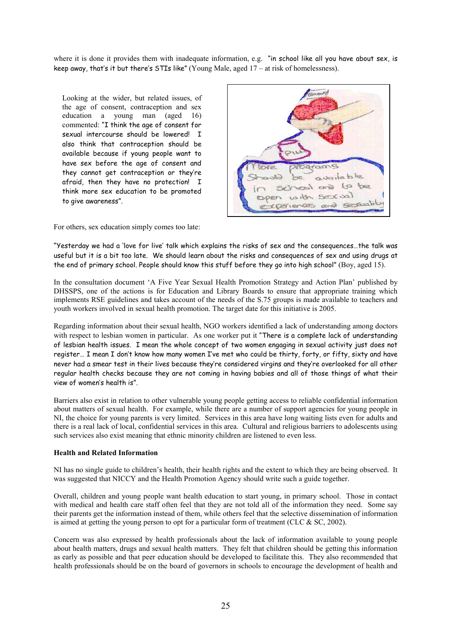where it is done it provides them with inadequate information, e.g. "in school like all you have about sex, is keep away, that's it but there's STIs like" (Young Male, aged  $17 - at$  risk of homelessness).

Looking at the wider, but related issues, of the age of consent, contraception and sex education a young man (aged  $16)$ commented: "I think the age of consent for sexual intercourse should be lowered! I also think that contraception should be available because if young people want to have sex before the age of consent and they cannot get contraception or they're afraid, then they have no protection! I think more sex education to be promoted to give awareness".



For others, sex education simply comes too late:

"Yesterday we had a 'love for live' talk which explains the risks of sex and the consequences...the talk was useful but it is a bit too late. We should learn about the risks and consequences of sex and using drugs at the end of primary school. People should know this stuff before they ao into high school" (Boy, aged 15).

In the consultation document 'A Five Year Sexual Health Promotion Strategy and Action Plan' published by DHSSPS, one of the actions is for Education and Library Boards to ensure that appropriate training which implements RSE guidelines and takes account of the needs of the S.75 groups is made available to teachers and youth workers involved in sexual health promotion. The target date for this initiative is 2005.

Regarding information about their sexual health, NGO workers identified a lack of understanding among doctors with respect to lesbian women in particular. As one worker put it "There is a complete lack of understanding of lesbian health issues. I mean the whole concept of two women engaging in sexual activity just does not register... I mean I don't know how many women I've met who could be thirty, forty, or fifty, sixty and have never had a smear test in their lives because they're considered virgins and they're overlooked for all other regular health checks because they are not coming in having babies and all of those things of what their view of women's health is".

Barriers also exist in relation to other vulnerable young people getting access to reliable confidential information about matters of sexual health. For example, while there are a number of support agencies for young people in NI, the choice for young parents is very limited. Services in this area have long waiting lists even for adults and there is a real lack of local, confidential services in this area. Cultural and religious barriers to adolescents using such services also exist meaning that ethnic minority children are listened to even less.

#### **Health and Related Information**

NI has no single guide to children's health, their health rights and the extent to which they are being observed. It was suggested that NICCY and the Health Promotion Agency should write such a guide together.

Overall, children and young people want health education to start young, in primary school. Those in contact with medical and health care staff often feel that they are not told all of the information they need. Some say their parents get the information instead of them, while others feel that the selective dissemination of information is aimed at getting the young person to opt for a particular form of treatment (CLC  $&$  SC, 2002).

Concern was also expressed by health professionals about the lack of information available to young people about health matters, drugs and sexual health matters. They felt that children should be getting this information as early as possible and that peer education should be developed to facilitate this. They also recommended that health professionals should be on the board of governors in schools to encourage the development of health and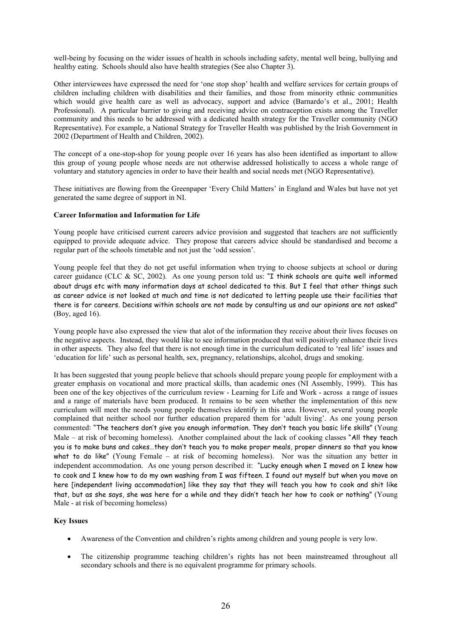well-being by focusing on the wider issues of health in schools including safety, mental well being, bullying and healthy eating. Schools should also have health strategies (See also Chapter 3).

Other interviewees have expressed the need for 'one stop shop' health and welfare services for certain groups of children including children with disabilities and their families, and those from minority ethnic communities which would give health care as well as advocacy, support and advice (Barnardo's et al., 2001; Health Professional). A particular barrier to giving and receiving advice on contraception exists among the Traveller community and this needs to be addressed with a dedicated health strategy for the Traveller community (NGO Representative). For example, a National Strategy for Traveller Health was published by the Irish Government in 2002 (Department of Health and Children, 2002).

The concept of a one-stop-shop for young people over 16 years has also been identified as important to allow this group of young people whose needs are not otherwise addressed holistically to access a whole range of voluntary and statutory agencies in order to have their health and social needs met (NGO Representative).

These initiatives are flowing from the Greenpaper 'Every Child Matters' in England and Wales but have not yet generated the same degree of support in NI.

#### **Career Information and Information for Life**

Young people have criticised current careers advice provision and suggested that teachers are not sufficiently equipped to provide adequate advice. They propose that careers advice should be standardised and become a regular part of the schools timetable and not just the 'odd session'.

Young people feel that they do not get useful information when trying to choose subjects at school or during career guidance (CLC & SC, 2002). As one young person told us: "I think schools are quite well informed about drugs etc with many information days at school dedicated to this. But I feel that other things such as career advice is not looked at much and time is not dedicated to letting people use their facilities that there is for careers. Decisions within schools are not made by consulting us and our opinions are not asked" (Boy, aged  $16$ ).

Young people have also expressed the view that alot of the information they receive about their lives focuses on the negative aspects. Instead, they would like to see information produced that will positively enhance their lives in other aspects. They also feel that there is not enough time in the curriculum dedicated to 'real life' issues and 'education for life' such as personal health, sex, pregnancy, relationships, alcohol, drugs and smoking.

It has been suggested that young people believe that schools should prepare young people for employment with a greater emphasis on vocational and more practical skills, than academic ones (NI Assembly, 1999). This has been one of the key objectives of the curriculum review - Learning for Life and Work - across a range of issues and a range of materials have been produced. It remains to be seen whether the implementation of this new curriculum will meet the needs young people themselves identify in this area. However, several young people complained that neither school nor further education prepared them for 'adult living'. As one young person commented: "The teachers don't give you enough information. They don't teach you basic life skills" (Young Male – at risk of becoming homeless). Another complained about the lack of cooking classes "All they teach you is to make buns and cakes...they don't teach you to make proper meals, proper dinners so that you know what to do like" (Young Female – at risk of becoming homeless). Nor was the situation any better in independent accommodation. As one young person described it: "Lucky enough when I moved on I knew how to cook and I knew how to do my own washing from I was fifteen. I found out myself but when you move on here [independent living accommodation] like they say that they will teach you how to cook and shit like that, but as she says, she was here for a while and they didn't teach her how to cook or nothing" (Young Male - at risk of becoming homeless)

#### **Key Issues**

- Awareness of the Convention and children's rights among children and young people is very low.
- The citizenship programme teaching children's rights has not been mainstreamed throughout all secondary schools and there is no equivalent programme for primary schools.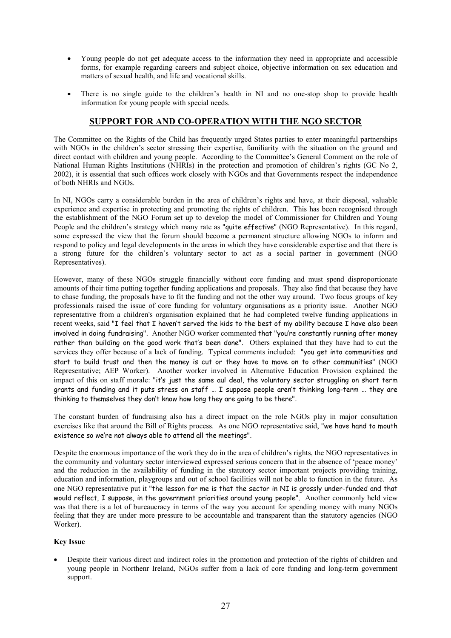- Young people do not get adequate access to the information they need in appropriate and accessible forms, for example regarding careers and subject choice, objective information on sex education and matters of sexual health, and life and vocational skills.
- There is no single guide to the children's health in NI and no one-stop shop to provide health information for young people with special needs.

# SUPPORT FOR AND CO-OPERATION WITH THE NGO SECTOR

The Committee on the Rights of the Child has frequently urged States parties to enter meaningful partnerships with NGOs in the children's sector stressing their expertise, familiarity with the situation on the ground and direct contact with children and young people. According to the Committee's General Comment on the role of National Human Rights Institutions (NHRIs) in the protection and promotion of children's rights (GC No 2, 2002), it is essential that such offices work closely with NGOs and that Governments respect the independence of both NHRIs and NGOs

In NI, NGOs carry a considerable burden in the area of children's rights and have, at their disposal, valuable experience and expertise in protecting and promoting the rights of children. This has been recognised through the establishment of the NGO Forum set up to develop the model of Commissioner for Children and Young People and the children's strategy which many rate as "quite effective" (NGO Representative). In this regard, some expressed the view that the forum should become a permanent structure allowing NGOs to inform and respond to policy and legal developments in the areas in which they have considerable expertise and that there is a strong future for the children's voluntary sector to act as a social partner in government (NGO Representatives).

However, many of these NGOs struggle financially without core funding and must spend disproportionate amounts of their time putting together funding applications and proposals. They also find that because they have to chase funding, the proposals have to fit the funding and not the other way around. Two focus groups of key professionals raised the issue of core funding for voluntary organisations as a priority issue. Another NGO representative from a children's organisation explained that he had completed twelve funding applications in recent weeks, said "I feel that I haven't served the kids to the best of my ability because I have also been involved in doing fundraising". Another NGO worker commented that "you're constantly running after money rather than building on the good work that's been done". Others explained that they have had to cut the services they offer because of a lack of funding. Typical comments included: "you get into communities and start to build trust and then the money is cut or they have to move on to other communities" (NGO Representative; AEP Worker). Another worker involved in Alternative Education Provision explained the impact of this on staff morale: "it's just the same aul deal, the voluntary sector struggling on short term grants and funding and it puts stress on staff ... I suppose people aren't thinking long-term ... they are thinking to themselves they don't know how long they are going to be there".

The constant burden of fundraising also has a direct impact on the role NGOs play in major consultation exercises like that around the Bill of Rights process. As one NGO representative said, "we have hand to mouth existence so we're not always able to attend all the meetings".

Despite the enormous importance of the work they do in the area of children's rights, the NGO representatives in the community and voluntary sector interviewed expressed serious concern that in the absence of 'peace money' and the reduction in the availability of funding in the statutory sector important projects providing training. education and information, playgroups and out of school facilities will not be able to function in the future. As one NGO representative put it "the lesson for me is that the sector in NI is grossly under-funded and that would reflect, I suppose, in the government priorities around young people". Another commonly held view was that there is a lot of bureaucracy in terms of the way you account for spending money with many NGOs feeling that they are under more pressure to be accountable and transparent than the statutory agencies (NGO Worker).

#### **Key Issue**

Despite their various direct and indirect roles in the promotion and protection of the rights of children and young people in Northenr Ireland, NGOs suffer from a lack of core funding and long-term government support.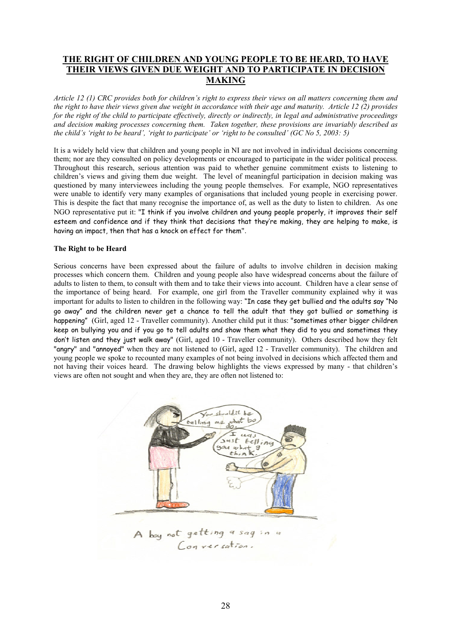# THE RIGHT OF CHILDREN AND YOUNG PEOPLE TO BE HEARD, TO HAVE THEIR VIEWS GIVEN DUE WEIGHT AND TO PARTICIPATE IN DECISION **MAKING**

Article 12 (1) CRC provides both for children's right to express their views on all matters concerning them and the right to have their views given due weight in accordance with their age and maturity. Article 12 (2) provides for the right of the child to participate effectively, directly or indirectly, in legal and administrative proceedings and decision making processes concerning them. Taken together, these provisions are invariably described as the child's 'right to be heard', 'right to participate' or 'right to be consulted' (GC No 5, 2003: 5)

It is a widely held view that children and young people in NI are not involved in individual decisions concerning them; nor are they consulted on policy developments or encouraged to participate in the wider political process. Throughout this research, serious attention was paid to whether genuine commitment exists to listening to children's views and giving them due weight. The level of meaningful participation in decision making was questioned by many interviewees including the young people themselves. For example, NGO representatives were unable to identify very many examples of organisations that included young people in exercising power. This is despite the fact that many recognise the importance of, as well as the duty to listen to children. As one NGO representative put it: "I think if you involve children and young people properly, it improves their self esteem and confidence and if they think that decisions that they're making, they are helping to make, is having an impact, then that has a knock on effect for them".

#### The Right to be Heard

Serious concerns have been expressed about the failure of adults to involve children in decision making processes which concern them. Children and young people also have widespread concerns about the failure of adults to listen to them, to consult with them and to take their views into account. Children have a clear sense of the importance of being heard. For example, one girl from the Traveller community explained why it was important for adults to listen to children in the following way: "In case they get bullied and the adults say "No go away" and the children never get a chance to tell the adult that they got bullied or something is happening" (Girl, aged 12 - Traveller community). Another child put it thus: "sometimes other bigger children keep on bullying you and if you go to tell adults and show them what they did to you and sometimes they don't listen and they just walk away" (Girl, aged 10 - Traveller community). Others described how they felt "angry" and "annoyed" when they are not listened to (Girl, aged 12 - Traveller community). The children and young people we spoke to recounted many examples of not being involved in decisions which affected them and not having their voices heard. The drawing below highlights the views expressed by many - that children's views are often not sought and when they are, they are often not listened to:

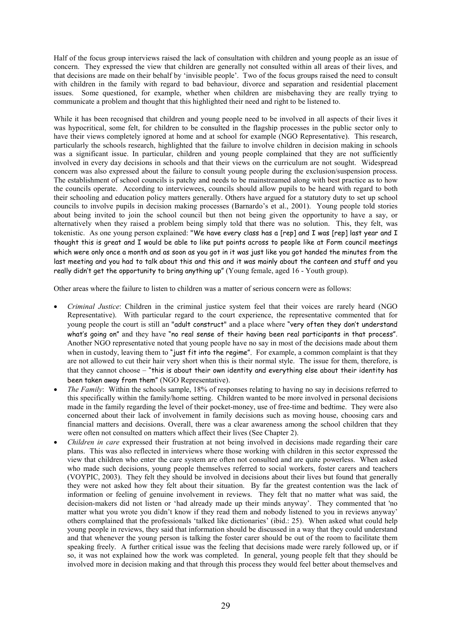Half of the focus group interviews raised the lack of consultation with children and young people as an issue of concern. They expressed the view that children are generally not consulted within all areas of their lives, and that decisions are made on their behalf by 'invisible people'. Two of the focus groups raised the need to consult with children in the family with regard to bad behaviour, divorce and separation and residential placement issues. Some questioned, for example, whether when children are misbehaving they are really trying to communicate a problem and thought that this highlighted their need and right to be listened to.

While it has been recognised that children and young people need to be involved in all aspects of their lives it was hypocritical, some felt, for children to be consulted in the flagship processes in the public sector only to have their views completely ignored at home and at school for example (NGO Representative). This research, particularly the schools research, highlighted that the failure to involve children in decision making in schools was a significant issue. In particular, children and young people complained that they are not sufficiently involved in every day decisions in schools and that their views on the curriculum are not sought. Widespread concern was also expressed about the failure to consult young people during the exclusion/suspension process. The establishment of school councils is patchy and needs to be mainstreamed along with best practice as to how the councils operate. According to interviewees, councils should allow pupils to be heard with regard to both their schooling and education policy matters generally. Others have argued for a statutory duty to set up school councils to involve pupils in decision making processes (Barnardo's et al., 2001). Young people told stories about being invited to join the school council but then not being given the opportunity to have a say, or alternatively when they raised a problem being simply told that there was no solution. This, they felt, was tokenistic. As one young person explained: "We have every class has a [rep] and I was [rep] last year and I thought this is great and I would be able to like put points across to people like at Form council meetings which were only once a month and as soon as you got in it was just like you got handed the minutes from the last meeting and you had to talk about this and this and it was mainly about the canteen and stuff and you really didn't get the opportunity to bring anything up" (Young female, aged 16 - Youth group).

Other areas where the failure to listen to children was a matter of serious concern were as follows:

- Criminal Justice: Children in the criminal justice system feel that their voices are rarely heard (NGO Representative). With particular regard to the court experience, the representative commented that for young people the court is still an "adult construct" and a place where "very often they don't understand what's going on" and they have "no real sense of their having been real participants in that process". Another NGO representative noted that young people have no say in most of the decisions made about them when in custody, leaving them to "just fit into the regime". For example, a common complaint is that they are not allowed to cut their hair very short when this is their normal style. The issue for them, therefore, is that they cannot choose - "this is about their own identity and everything else about their identity has been taken away from them" (NGO Representative).
- *The Family:* Within the schools sample, 18% of responses relating to having no say in decisions referred to this specifically within the family/home setting. Children wanted to be more involved in personal decisions made in the family regarding the level of their pocket-money, use of free-time and bedtime. They were also concerned about their lack of involvement in family decisions such as moving house, choosing cars and financial matters and decisions. Overall, there was a clear awareness among the school children that they were often not consulted on matters which affect their lives (See Chapter 2).
- Children in care expressed their frustration at not being involved in decisions made regarding their care plans. This was also reflected in interviews where those working with children in this sector expressed the view that children who enter the care system are often not consulted and are quite powerless. When asked who made such decisions, young people themselves referred to social workers, foster carers and teachers (VOYPIC, 2003). They felt they should be involved in decisions about their lives but found that generally they were not asked how they felt about their situation. By far the greatest contention was the lack of information or feeling of genuine involvement in reviews. They felt that no matter what was said, the decision-makers did not listen or 'had already made up their minds anyway'. They commented that 'no matter what you wrote you didn't know if they read them and nobody listened to you in reviews anyway' others complained that the professionals 'talked like dictionaries' (ibid.: 25). When asked what could help young people in reviews, they said that information should be discussed in a way that they could understand and that whenever the young person is talking the foster carer should be out of the room to facilitate them speaking freely. A further critical issue was the feeling that decisions made were rarely followed up, or if so, it was not explained how the work was completed. In general, young people felt that they should be involved more in decision making and that through this process they would feel better about themselves and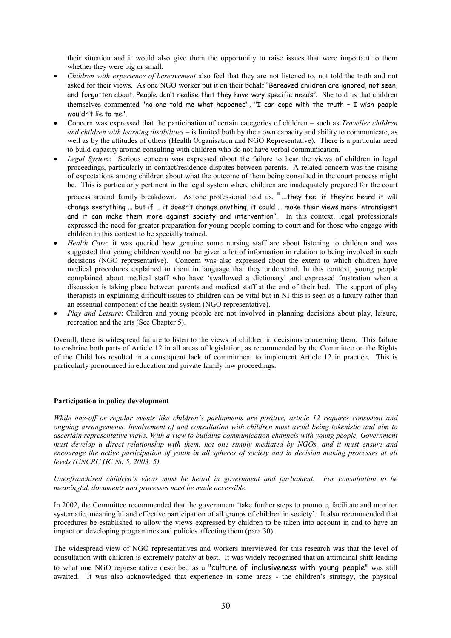their situation and it would also give them the opportunity to raise issues that were important to them whether they were big or small.

- Children with experience of bereavement also feel that they are not listened to, not told the truth and not asked for their views. As one NGO worker put it on their behalf "Bereaved children are ignored, not seen, and forgotten about. People don't realise that they have very specific needs". She told us that children themselves commented "no-one told me what happened". "I can cope with the truth - I wish people wouldn't lie to me".
- Concern was expressed that the participation of certain categories of children such as *Traveller children* and children with learning disabilities – is limited both by their own capacity and ability to communicate, as well as by the attitudes of others (Health Organisation and NGO Representative). There is a particular need to build capacity around consulting with children who do not have verbal communication.
- Legal System: Serious concern was expressed about the failure to hear the views of children in legal proceedings, particularly in contact/residence disputes between parents. A related concern was the raising of expectations among children about what the outcome of them being consulted in the court process might be. This is particularly pertinent in the legal system where children are inadequately prepared for the court

process around family breakdown. As one professional told us, "...they feel if they're heard it will change everything ... but if ... it doesn't change anything, it could ... make their views more intransigent and it can make them more against society and intervention". In this context, legal professionals expressed the need for greater preparation for young people coming to court and for those who engage with children in this context to be specially trained.

- Health Care: it was queried how genuine some nursing staff are about listening to children and was suggested that young children would not be given a lot of information in relation to being involved in such decisions (NGO representative). Concern was also expressed about the extent to which children have medical procedures explained to them in language that they understand. In this context, young people complained about medical staff who have 'swallowed a dictionary' and expressed frustration when a discussion is taking place between parents and medical staff at the end of their bed. The support of play therapists in explaining difficult issues to children can be vital but in NI this is seen as a luxury rather than an essential component of the health system (NGO representative).
- Play and Leisure: Children and young people are not involved in planning decisions about play, leisure, recreation and the arts (See Chapter 5).

Overall, there is widespread failure to listen to the views of children in decisions concerning them. This failure to enshrine both parts of Article 12 in all areas of legislation, as recommended by the Committee on the Rights of the Child has resulted in a consequent lack of commitment to implement Article 12 in practice. This is particularly pronounced in education and private family law proceedings.

#### Participation in policy development

While one-off or regular events like children's parliaments are positive, article 12 requires consistent and ongoing arrangements. Involvement of and consultation with children must avoid being tokenistic and aim to ascertain representative views. With a view to building communication channels with young people, Government must develop a direct relationship with them, not one simply mediated by NGOs, and it must ensure and encourage the active participation of vouth in all spheres of society and in decision making processes at all levels (UNCRC GC No  $5$ , 2003: 5).

Unenfranchised children's views must be heard in government and parliament. For consultation to be meaningful, documents and processes must be made accessible.

In 2002, the Committee recommended that the government 'take further steps to promote, facilitate and monitor systematic, meaningful and effective participation of all groups of children in society'. It also recommended that procedures be established to allow the views expressed by children to be taken into account in and to have an impact on developing programmes and policies affecting them (para 30).

The widespread view of NGO representatives and workers interviewed for this research was that the level of consultation with children is extremely patchy at best. It was widely recognised that an attitudinal shift leading to what one NGO representative described as a "culture of inclusiveness with young people" was still awaited. It was also acknowledged that experience in some areas - the children's strategy, the physical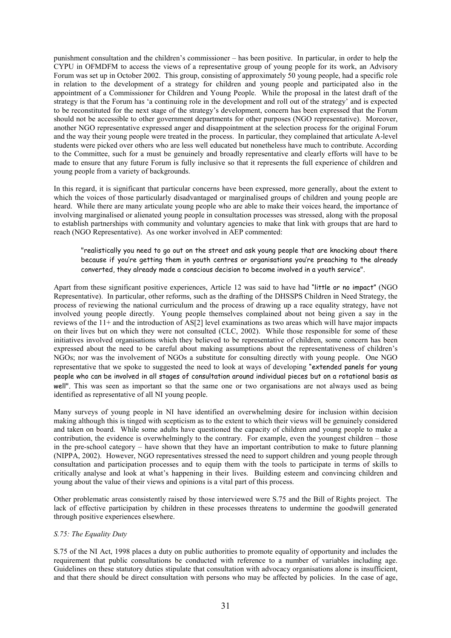punishment consultation and the children's commissioner - has been positive. In particular, in order to help the CYPU in OFMDFM to access the views of a representative group of young people for its work, an Advisory Forum was set up in October 2002. This group, consisting of approximately 50 young people, had a specific role in relation to the development of a strategy for children and young people and participated also in the appointment of a Commissioner for Children and Young People. While the proposal in the latest draft of the strategy is that the Forum has 'a continuing role in the development and roll out of the strategy' and is expected to be reconstituted for the next stage of the strategy's development, concern has been expressed that the Forum should not be accessible to other government departments for other purposes (NGO representative). Moreover, another NGO representative expressed anger and disappointment at the selection process for the original Forum and the way their young people were treated in the process. In particular, they complained that articulate A-level students were picked over others who are less well educated but nonetheless have much to contribute. According to the Committee, such for a must be genuinely and broadly representative and clearly efforts will have to be made to ensure that any future Forum is fully inclusive so that it represents the full experience of children and young people from a variety of backgrounds.

In this regard, it is significant that particular concerns have been expressed, more generally, about the extent to which the voices of those particularly disadvantaged or marginalised groups of children and young people are heard. While there are many articulate young people who are able to make their voices heard, the importance of involving marginalised or alienated young people in consultation processes was stressed, along with the proposal to establish partnerships with community and voluntary agencies to make that link with groups that are hard to reach (NGO Representative). As one worker involved in AEP commented:

"realistically you need to go out on the street and ask young people that are knocking about there because if you're getting them in youth centres or organisations you're preaching to the already converted, they already made a conscious decision to become involved in a youth service".

Apart from these significant positive experiences, Article 12 was said to have had "little or no impact" (NGO Representative). In particular, other reforms, such as the drafting of the DHSSPS Children in Need Strategy, the process of reviewing the national curriculum and the process of drawing up a race equality strategy, have not involved young people directly. Young people themselves complained about not being given a say in the reviews of the  $11+$  and the introduction of AS[2] level examinations as two areas which will have major impacts on their lives but on which they were not consulted (CLC, 2002). While those responsible for some of these initiatives involved organisations which they believed to be representative of children, some concern has been expressed about the need to be careful about making assumptions about the representativeness of children's NGOs; nor was the involvement of NGOs a substitute for consulting directly with young people. One NGO representative that we spoke to suggested the need to look at ways of developing "extended panels for young people who can be involved in all stages of consultation around individual pieces but on a rotational basis as well". This was seen as important so that the same one or two organisations are not always used as being identified as representative of all NI young people.

Many surveys of young people in NI have identified an overwhelming desire for inclusion within decision making although this is tinged with scepticism as to the extent to which their views will be genuinely considered and taken on board. While some adults have questioned the capacity of children and young people to make a contribution, the evidence is overwhelmingly to the contrary. For example, even the youngest children – those in the pre-school category - have shown that they have an important contribution to make to future planning (NIPPA, 2002). However, NGO representatives stressed the need to support children and voung people through consultation and participation processes and to equip them with the tools to participate in terms of skills to critically analyse and look at what's happening in their lives. Building esteem and convincing children and young about the value of their views and opinions is a vital part of this process.

Other problematic areas consistently raised by those interviewed were S.75 and the Bill of Rights project. The lack of effective participation by children in these processes threatens to undermine the goodwill generated through positive experiences elsewhere.

#### S.75: The Equality Duty

S.75 of the NI Act, 1998 places a duty on public authorities to promote equality of opportunity and includes the requirement that public consultations be conducted with reference to a number of variables including age. Guidelines on these statutory duties stipulate that consultation with advocacy organisations alone is insufficient, and that there should be direct consultation with persons who may be affected by policies. In the case of age,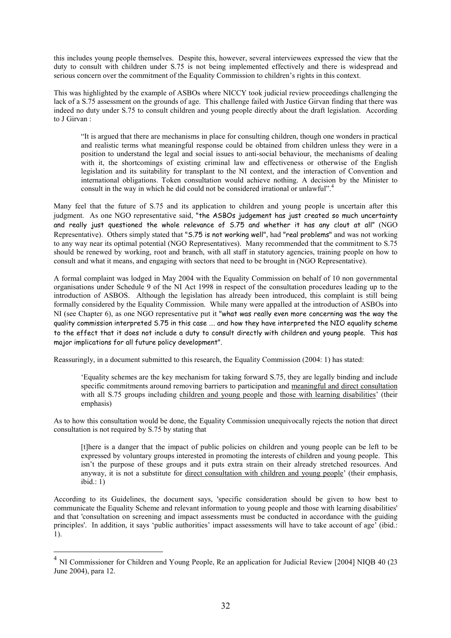this includes young people themselves. Despite this, however, several interviewees expressed the view that the duty to consult with children under S.75 is not being implemented effectively and there is widespread and serious concern over the commitment of the Equality Commission to children's rights in this context.

This was highlighted by the example of ASBOs where NICCY took judicial review proceedings challenging the lack of a S.75 assessment on the grounds of age. This challenge failed with Justice Girvan finding that there was indeed no duty under S.75 to consult children and young people directly about the draft legislation. According to J Girvan:

"It is argued that there are mechanisms in place for consulting children, though one wonders in practical and realistic terms what meaningful response could be obtained from children unless they were in a position to understand the legal and social issues to anti-social behaviour, the mechanisms of dealing with it, the shortcomings of existing criminal law and effectiveness or otherwise of the English legislation and its suitability for transplant to the NI context, and the interaction of Convention and international obligations. Token consultation would achieve nothing. A decision by the Minister to consult in the way in which he did could not be considered irrational or unlawful".<sup>4</sup>

Many feel that the future of S.75 and its application to children and young people is uncertain after this judgment. As one NGO representative said, "the ASBOs judgement has just created so much uncertainty and really just questioned the whole relevance of 5.75 and whether it has any clout at all" (NGO Representative). Others simply stated that "S.75 is not working well", had "real problems" and was not working to any way near its optimal potential (NGO Representatives). Many recommended that the commitment to S.75 should be renewed by working, root and branch, with all staff in statutory agencies, training people on how to consult and what it means, and engaging with sectors that need to be brought in (NGO Representative).

A formal complaint was lodged in May 2004 with the Equality Commission on behalf of 10 non governmental organisations under Schedule 9 of the NI Act 1998 in respect of the consultation procedures leading up to the introduction of ASBOS. Although the legislation has already been introduced, this complaint is still being formally considered by the Equality Commission. While many were appalled at the introduction of ASBOs into NI (see Chapter 6), as one NGO representative put it "what was really even more concerning was the way the quality commission interpreted 5.75 in this case ..., and how they have interpreted the NIO equality scheme to the effect that it does not include a duty to consult directly with children and young people. This has major implications for all future policy development".

Reassuringly, in a document submitted to this research, the Equality Commission (2004: 1) has stated:

'Equality schemes are the key mechanism for taking forward S.75, they are legally binding and include specific commitments around removing barriers to participation and meaningful and direct consultation with all S.75 groups including children and young people and those with learning disabilities' (their emphasis)

As to how this consultation would be done, the Equality Commission unequivocally rejects the notion that direct consultation is not required by S.75 by stating that

[t] here is a danger that the impact of public policies on children and young people can be left to be expressed by voluntary groups interested in promoting the interests of children and young people. This isn't the purpose of these groups and it puts extra strain on their already stretched resources. And anyway, it is not a substitute for direct consultation with children and young people' (their emphasis,  $ibid: 1)$ 

According to its Guidelines, the document says, 'specific consideration should be given to how best to communicate the Equality Scheme and relevant information to young people and those with learning disabilities' and that 'consultation on screening and impact assessments must be conducted in accordance with the guiding principles'. In addition, it says 'public authorities' impact assessments will have to take account of age' (ibid.:  $1$ ).

 $4$  NI Commissioner for Children and Young People, Re an application for Judicial Review [2004] NIQB 40 (23 June 2004), para 12.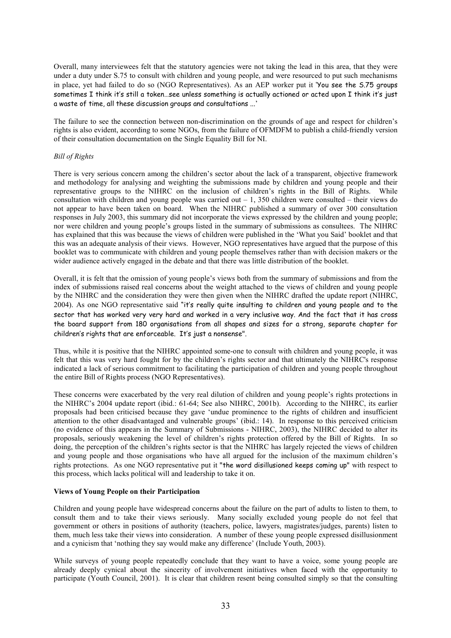Overall, many interviewees felt that the statutory agencies were not taking the lead in this area, that they were under a duty under S.75 to consult with children and young people, and were resourced to put such mechanisms in place, yet had failed to do so (NGO Representatives). As an AEP worker put it 'You see the 5.75 groups sometimes I think it's still a token...see unless something is actually actioned or acted upon I think it's just a waste of time, all these discussion groups and consultations ...'

The failure to see the connection between non-discrimination on the grounds of age and respect for children's rights is also evident, according to some NGOs, from the failure of OFMDFM to publish a child-friendly version of their consultation documentation on the Single Equality Bill for NI.

#### **Bill of Rights**

There is very serious concern among the children's sector about the lack of a transparent, objective framework and methodology for analysing and weighting the submissions made by children and young people and their representative groups to the NIHRC on the inclusion of children's rights in the Bill of Rights. While consultation with children and young people was carried out  $-1$ , 350 children were consulted – their views do not appear to have been taken on board. When the NIHRC published a summary of over 300 consultation responses in July 2003, this summary did not incorporate the views expressed by the children and young people; nor were children and young people's groups listed in the summary of submissions as consultees. The NIHRC has explained that this was because the views of children were published in the 'What you Said' booklet and that this was an adequate analysis of their views. However, NGO representatives have argued that the purpose of this booklet was to communicate with children and young people themselves rather than with decision makers or the wider audience actively engaged in the debate and that there was little distribution of the booklet.

Overall, it is felt that the omission of young people's views both from the summary of submissions and from the index of submissions raised real concerns about the weight attached to the views of children and young people by the NIHRC and the consideration they were then given when the NIHRC drafted the update report (NIHRC, 2004). As one NGO representative said "it's really quite insulting to children and young people and to the sector that has worked very very hard and worked in a very inclusive way. And the fact that it has cross the board support from 180 organisations from all shapes and sizes for a strong, separate chapter for children's rights that are enforceable. It's just a nonsense".

Thus, while it is positive that the NIHRC appointed some-one to consult with children and young people, it was felt that this was very hard fought for by the children's rights sector and that ultimately the NIHRC's response indicated a lack of serious commitment to facilitating the participation of children and young people throughout the entire Bill of Rights process (NGO Representatives).

These concerns were exacerbated by the very real dilution of children and young people's rights protections in the NIHRC's 2004 update report (ibid.: 61-64: See also NIHRC, 2001b). According to the NIHRC, its earlier proposals had been criticised because they gave 'undue prominence to the rights of children and insufficient attention to the other disadvantaged and vulnerable groups' (ibid.: 14). In response to this perceived criticism<br>(no evidence of this appears in the Summary of Submissions - NIHRC, 2003), the NIHRC decided to alter its proposals, seriously weakening the level of children's rights protection offered by the Bill of Rights. In so doing, the perception of the children's rights sector is that the NIHRC has largely rejected the views of children and young people and those organisations who have all argued for the inclusion of the maximum children's rights protections. As one NGO representative put it "the word disillusioned keeps coming up" with respect to this process, which lacks political will and leadership to take it on.

#### **Views of Young People on their Participation**

Children and young people have widespread concerns about the failure on the part of adults to listen to them, to consult them and to take their views seriously. Many socially excluded young people do not feel that government or others in positions of authority (teachers, police, lawyers, magistrates/judges, parents) listen to them, much less take their views into consideration. A number of these young people expressed disillusionment and a cynicism that 'nothing they say would make any difference' (Include Youth, 2003).

While surveys of young people repeatedly conclude that they want to have a voice, some young people are already deeply cynical about the sincerity of involvement initiatives when faced with the opportunity to participate (Youth Council, 2001). It is clear that children resent being consulted simply so that the consulting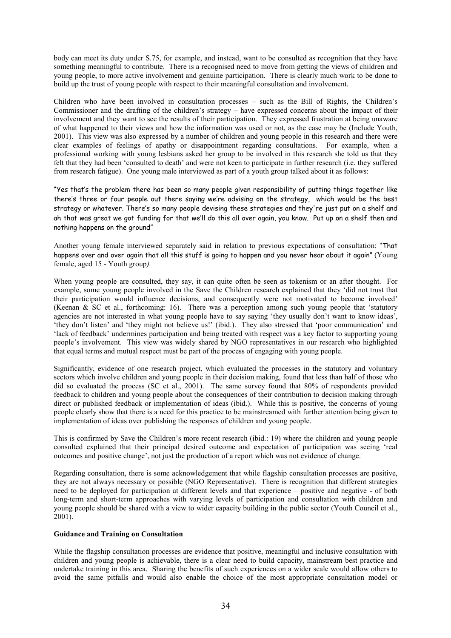body can meet its duty under S.75, for example, and instead, want to be consulted as recognition that they have something meaningful to contribute. There is a recognised need to move from getting the views of children and young people, to more active involvement and genuine participation. There is clearly much work to be done to build up the trust of young people with respect to their meaningful consultation and involvement.

Children who have been involved in consultation processes – such as the Bill of Rights, the Children's Commissioner and the drafting of the children's strategy – have expressed concerns about the impact of their involvement and they want to see the results of their participation. They expressed frustration at being unaware of what happened to their views and how the information was used or not, as the case may be (Include Youth, 2001). This view was also expressed by a number of children and young people in this research and there were clear examples of feelings of apathy or disappointment regarding consultations. For example, when a professional working with young lesbians asked her group to be involved in this research she told us that they felt that they had been 'consulted to death' and were not keen to participate in further research (i.e. they suffered from research fatigue). One young male interviewed as part of a youth group talked about it as follows:

"Yes that's the problem there has been so many people given responsibility of putting things together like there's three or four people out there saying we're advising on the strategy, which would be the best strategy or whatever. There's so many people devising these strategies and they're just put on a shelf and ah that was great we got funding for that we'll do this all over again, you know. Put up on a shelf then and nothing happens on the ground"

Another young female interviewed separately said in relation to previous expectations of consultation: "That happens over and over again that all this stuff is going to happen and you never hear about it again" (Young female, aged 15 - Youth group).

When young people are consulted, they say, it can quite often be seen as tokenism or an after thought. For example, some young people involved in the Save the Children research explained that they 'did not trust that their participation would influence decisions, and consequently were not motivated to become involved' (Keenan & SC et al., forthcoming: 16). There was a perception among such young people that 'statutory agencies are not interested in what young people have to say saying 'they usually don't want to know ideas', 'they don't listen' and 'they might not believe us!' (ibid.). They also stressed that 'poor communication' and 'lack of feedback' undermines participation and being treated with respect was a key factor to supporting young people's involvement. This view was widely shared by NGO representatives in our research who highlighted that equal terms and mutual respect must be part of the process of engaging with young people.

Significantly, evidence of one research project, which evaluated the processes in the statutory and voluntary sectors which involve children and young people in their decision making, found that less than half of those who did so evaluated the process (SC et al., 2001). The same survey found that 80% of respondents provided feedback to children and young people about the consequences of their contribution to decision making through direct or published feedback or implementation of ideas (ibid.). While this is positive, the concerns of young people clearly show that there is a need for this practice to be mainstreamed with further attention being given to implementation of ideas over publishing the responses of children and young people.

This is confirmed by Save the Children's more recent research (ibid.: 19) where the children and young people consulted explained that their principal desired outcome and expectation of participation was seeing 'real outcomes and positive change', not just the production of a report which was not evidence of change.

Regarding consultation, there is some acknowledgement that while flagship consultation processes are positive, they are not always necessary or possible (NGO Representative). There is recognition that different strategies need to be deployed for participation at different levels and that experience – positive and negative - of both long-term and short-term approaches with varying levels of participation and consultation with children and young people should be shared with a view to wider capacity building in the public sector (Youth Council et al.,  $2001$ ).

#### **Guidance and Training on Consultation**

While the flagship consultation processes are evidence that positive, meaningful and inclusive consultation with children and young people is achievable, there is a clear need to build capacity, mainstream best practice and undertake training in this area. Sharing the benefits of such experiences on a wider scale would allow others to avoid the same pitfalls and would also enable the choice of the most appropriate consultation model or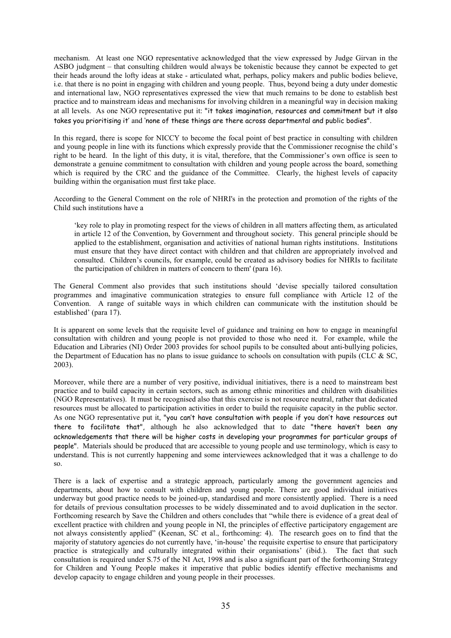mechanism. At least one NGO representative acknowledged that the view expressed by Judge Girvan in the ASBO judgment – that consulting children would always be tokenistic because they cannot be expected to get their heads around the lofty ideas at stake - articulated what, perhaps, policy makers and public bodies believe, i.e. that there is no point in engaging with children and young people. Thus, beyond being a duty under domestic and international law, NGO representatives expressed the view that much remains to be done to establish best practice and to mainstream ideas and mechanisms for involving children in a meaningful way in decision making at all levels. As one NGO representative put it: "it takes imagination, resources and commitment but it also takes you prioritising it' and 'none of these things are there across departmental and public bodies".

In this regard, there is scope for NICCY to become the focal point of best practice in consulting with children and young people in line with its functions which expressly provide that the Commissioner recognise the child's right to be heard. In the light of this duty, it is vital, therefore, that the Commissioner's own office is seen to demonstrate a genuine commitment to consultation with children and young people across the board, something which is required by the CRC and the guidance of the Committee. Clearly, the highest levels of capacity building within the organisation must first take place.

According to the General Comment on the role of NHRI's in the protection and promotion of the rights of the Child such institutions have a

'key role to play in promoting respect for the views of children in all matters affecting them, as articulated in article 12 of the Convention, by Government and throughout society. This general principle should be applied to the establishment, organisation and activities of national human rights institutions. Institutions must ensure that they have direct contact with children and that children are appropriately involved and consulted. Children's councils, for example, could be created as advisory bodies for NHRIs to facilitate the participation of children in matters of concern to them' (para 16).

The General Comment also provides that such institutions should 'devise specially tailored consultation programmes and imaginative communication strategies to ensure full compliance with Article 12 of the Convention. A range of suitable ways in which children can communicate with the institution should be established' (para 17).

It is apparent on some levels that the requisite level of guidance and training on how to engage in meaningful consultation with children and young people is not provided to those who need it. For example, while the Education and Libraries (NI) Order 2003 provides for school pupils to be consulted about anti-bullying policies. the Department of Education has no plans to issue guidance to schools on consultation with pupils (CLC & SC,  $2003$ ).

Moreover, while there are a number of very positive, individual initiatives, there is a need to mainstream best practice and to build capacity in certain sectors, such as among ethnic minorities and children with disabilities (NGO Representatives). It must be recognised also that this exercise is not resource neutral, rather that dedicated resources must be allocated to participation activities in order to build the requisite capacity in the public sector. As one NGO representative put it, "you can't have consultation with people if you don't have resources out there to facilitate that", although he also acknowledged that to date "there haven't been any acknowledgements that there will be higher costs in developing your programmes for particular groups of people". Materials should be produced that are accessible to young people and use terminology, which is easy to understand. This is not currently happening and some interviewees acknowledged that it was a challenge to do  $\mathbf{S}$ 

There is a lack of expertise and a strategic approach, particularly among the government agencies and departments, about how to consult with children and young people. There are good individual initiatives underway but good practice needs to be joined-up, standardised and more consistently applied. There is a need for details of previous consultation processes to be widely disseminated and to avoid duplication in the sector. Forthcoming research by Save the Children and others concludes that "while there is evidence of a great deal of excellent practice with children and young people in NI, the principles of effective participatory engagement are not always consistently applied" (Keenan, SC et al., forthcoming: 4). The research goes on to find that the majority of statutory agencies do not currently have, 'in-house' the requisite expertise to ensure that participatory practice is strategically and culturally integrated within their organisations' (ibid.). The fact that such consultation is required under S.75 of the NI Act, 1998 and is also a significant part of the forthcoming Strategy for Children and Young People makes it imperative that public bodies identify effective mechanisms and develop capacity to engage children and young people in their processes.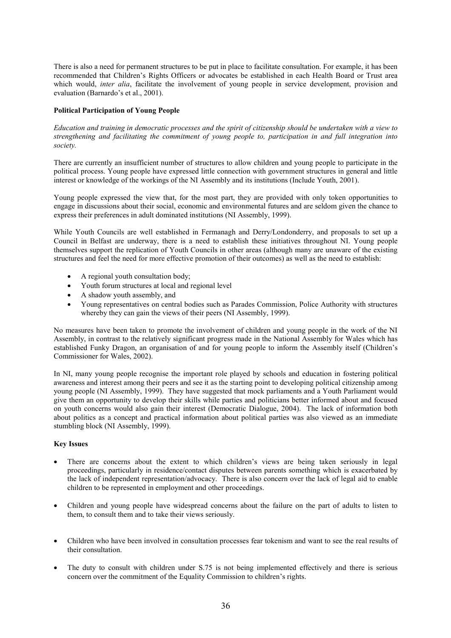There is also a need for permanent structures to be put in place to facilitate consultation. For example, it has been recommended that Children's Rights Officers or advocates be established in each Health Board or Trust area which would, *inter alia*, facilitate the involvement of young people in service development, provision and evaluation (Barnardo's et al., 2001).

#### **Political Participation of Young People**

Education and training in democratic processes and the spirit of citizenship should be undertaken with a view to strengthening and facilitating the commitment of young people to, participation in and full integration into society.

There are currently an insufficient number of structures to allow children and young people to participate in the political process. Young people have expressed little connection with government structures in general and little interest or knowledge of the workings of the NI Assembly and its institutions (Include Youth, 2001).

Young people expressed the view that, for the most part, they are provided with only token opportunities to engage in discussions about their social, economic and environmental futures and are seldom given the chance to express their preferences in adult dominated institutions (NI Assembly, 1999).

While Youth Councils are well established in Fermanagh and Derry/Londonderry, and proposals to set up a Council in Belfast are underway, there is a need to establish these initiatives throughout NI. Young people themselves support the replication of Youth Councils in other areas (although many are unaware of the existing structures and feel the need for more effective promotion of their outcomes) as well as the need to establish:

- A regional youth consultation body;
- Youth forum structures at local and regional level
- $\bullet$ A shadow youth assembly, and
- Young representatives on central bodies such as Parades Commission, Police Authority with structures whereby they can gain the views of their peers (NI Assembly, 1999).

No measures have been taken to promote the involvement of children and young people in the work of the NI Assembly, in contrast to the relatively significant progress made in the National Assembly for Wales which has established Funky Dragon, an organisation of and for young people to inform the Assembly itself (Children's Commissioner for Wales, 2002).

In NI, many young people recognise the important role played by schools and education in fostering political awareness and interest among their peers and see it as the starting point to developing political citizenship among young people (NI Assembly, 1999). They have suggested that mock parliaments and a Youth Parliament would give them an opportunity to develop their skills while parties and politicians better informed about and focused on youth concerns would also gain their interest (Democratic Dialogue, 2004). The lack of information both about politics as a concept and practical information about political parties was also viewed as an immediate stumbling block (NI Assembly, 1999).

#### **Key Issues**

- There are concerns about the extent to which children's views are being taken seriously in legal proceedings, particularly in residence/contact disputes between parents something which is exacerbated by the lack of independent representation/advocacy. There is also concern over the lack of legal aid to enable children to be represented in employment and other proceedings.
- Children and young people have widespread concerns about the failure on the part of adults to listen to them, to consult them and to take their views seriously.
- Children who have been involved in consultation processes fear tokenism and want to see the real results of their consultation.
- The duty to consult with children under S.75 is not being implemented effectively and there is serious concern over the commitment of the Equality Commission to children's rights.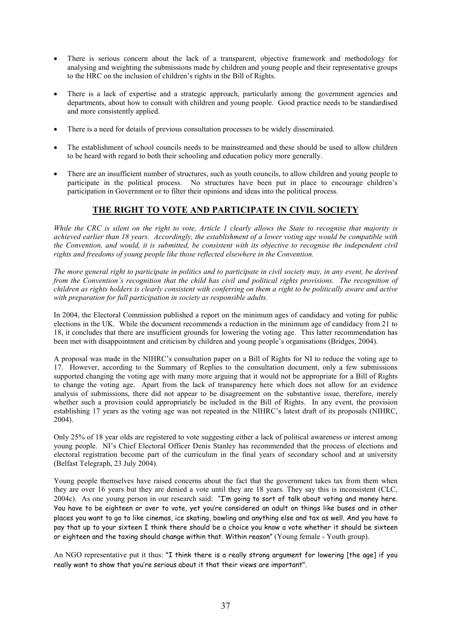- There is serious concern about the lack of a transparent, objective framework and methodology for analysing and weighting the submissions made by children and young people and their representative groups to the HRC on the inclusion of children's rights in the Bill of Rights.
- There is a lack of expertise and a strategic approach, particularly among the government agencies and departments, about how to consult with children and young people. Good practice needs to be standardised and more consistently applied.
- There is a need for details of previous consultation processes to be widely disseminated.
- The establishment of school councils needs to be mainstreamed and these should be used to allow children to be heard with regard to both their schooling and education policy more generally.
- There are an insufficient number of structures, such as youth councils, to allow children and young people to participate in the political process. No structures have been put in place to encourage children's participation in Government or to filter their opinions and ideas into the political process.

## THE RIGHT TO VOTE AND PARTICIPATE IN CIVIL SOCIETY

While the CRC is silent on the right to vote, Article 1 clearly allows the State to recognise that majority is achieved earlier than 18 years. Accordingly, the establishment of a lower voting age would be compatible with the Convention, and would, it is submitted, be consistent with its objective to recognise the independent civil rights and freedoms of young people like those reflected elsewhere in the Convention.

The more general right to participate in politics and to participate in civil society may, in any event, be derived from the Convention's recognition that the child has civil and political rights provisions. The recognition of children as rights holders is clearly consistent with conferring on them a right to be politically aware and active with preparation for full participation in society as responsible adults.

In 2004, the Electoral Commission published a report on the minimum ages of candidacy and voting for public elections in the UK. While the document recommends a reduction in the minimum age of candidacy from 21 to 18, it concludes that there are insufficient grounds for lowering the voting age. This latter recommendation has been met with disappointment and criticism by children and young people's organisations (Bridges, 2004).

A proposal was made in the NIHRC's consultation paper on a Bill of Rights for NI to reduce the voting age to 17. However, according to the Summary of Replies to the consultation document, only a few submissions supported changing the voting age with many more arguing that it would not be appropriate for a Bill of Rights to change the voting age. Apart from the lack of transparency here which does not allow for an evidence analysis of submissions, there did not appear to be disagreement on the substantive issue, therefore, merely whether such a provision could appropriately be included in the Bill of Rights. In any event, the provision establishing 17 years as the voting age was not repeated in the NIHRC's latest draft of its proposals (NIHRC,  $2004$ 

Only 25% of 18 year olds are registered to vote suggesting either a lack of political awareness or interest among young people. NI's Chief Electoral Officer Denis Stanley has recommended that the process of elections and electoral registration become part of the curriculum in the final years of secondary school and at university (Belfast Telegraph, 23 July 2004).

Young people themselves have raised concerns about the fact that the government takes tax from them when they are over 16 years but they are denied a vote until they are 18 years. They say this is inconsistent (CLC, 2004c). As one young person in our research said: "I'm going to sort of talk about voting and money here. You have to be eighteen or over to vote, yet you're considered an adult on things like buses and in other places you want to go to like cinemas, ice skating, bowling and anything else and tax as well. And you have to pay that up to your sixteen I think there should be a choice you know a vote whether it should be sixteen or eighteen and the taxing should change within that. Within reason" (Young female - Youth group).

An NGO representative put it thus: "I think there is a really strong argument for lowering [the age] if you really want to show that you're serious about it that their views are important".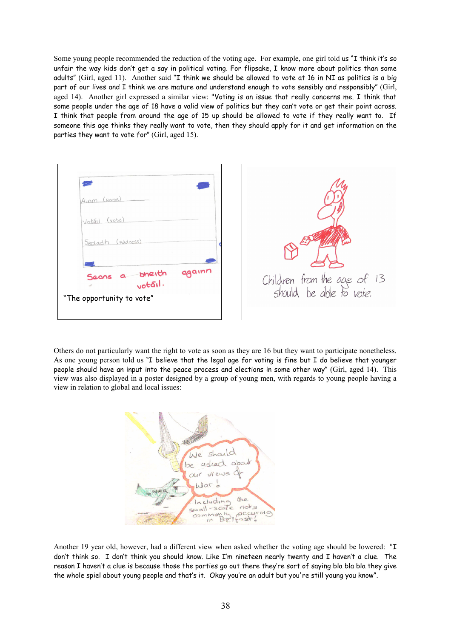Some young people recommended the reduction of the voting age. For example, one girl told us "I think it's so unfair the way kids don't get a say in political voting. For flipsake, I know more about politics than some adults" (Girl, aged 11). Another said "I think we should be allowed to vote at 16 in NI as politics is a big part of our lives and I think we are mature and understand enough to vote sensibly and responsibly" (Girl, aged 14). Another girl expressed a similar view: "Voting is an issue that really concerns me. I think that some people under the age of 18 have a valid view of politics but they can't vote or get their point across. I think that people from around the age of 15 up should be allowed to vote if they really want to. If someone this age thinks they really want to vote, then they should apply for it and get information on the parties they want to vote for" (Girl, aged 15).



Others do not particularly want the right to vote as soon as they are 16 but they want to participate nonetheless. As one young person told us "I believe that the legal age for voting is fine but I do believe that younger people should have an input into the peace process and elections in some other way" (Girl, aged 14). This view was also displayed in a poster designed by a group of young men, with regards to young people having a view in relation to global and local issues:



Another 19 year old, however, had a different view when asked whether the voting age should be lowered: "I don't think so. I don't think you should know. Like I'm nineteen nearly twenty and I haven't a clue. The reason I haven't a clue is because those the parties go out there they're sort of saying bla bla bla they give the whole spiel about young people and that's it. Okay you're an adult but you're still young you know".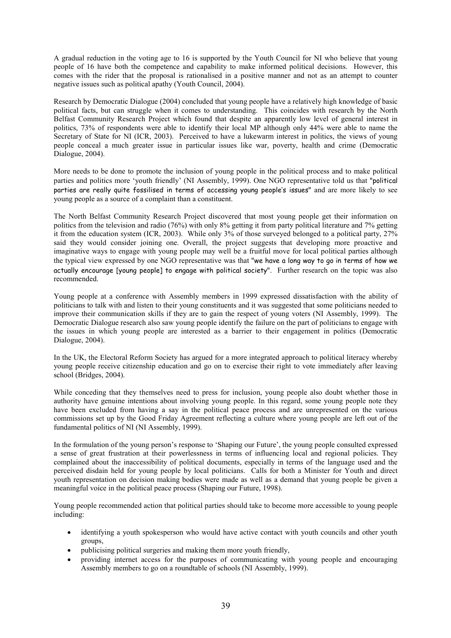A gradual reduction in the voting age to 16 is supported by the Youth Council for NI who believe that young people of 16 have both the competence and capability to make informed political decisions. However, this comes with the rider that the proposal is rationalised in a positive manner and not as an attempt to counter negative issues such as political apathy (Youth Council, 2004).

Research by Democratic Dialogue (2004) concluded that young people have a relatively high knowledge of basic political facts, but can struggle when it comes to understanding. This coincides with research by the North Belfast Community Research Project which found that despite an apparently low level of general interest in politics, 73% of respondents were able to identify their local MP although only 44% were able to name the Secretary of State for NI (ICR, 2003). Perceived to have a lukewarm interest in politics, the views of young people conceal a much greater issue in particular issues like war, poverty, health and crime (Democratic Dialogue, 2004).

More needs to be done to promote the inclusion of young people in the political process and to make political parties and politics more 'youth friendly' (NI Assembly, 1999). One NGO representative told us that "political parties are really quite fossilised in terms of accessing young people's issues" and are more likely to see young people as a source of a complaint than a constituent.

The North Belfast Community Research Project discovered that most young people get their information on politics from the television and radio (76%) with only 8% getting it from party political literature and 7% getting it from the education system (ICR, 2003). While only  $3\%$  of those surveyed belonged to a political party,  $27\%$ said they would consider joining one. Overall, the project suggests that developing more proactive and imaginative ways to engage with young people may well be a fruitful move for local political parties although the typical view expressed by one NGO representative was that "we have a long way to go in terms of how we actually encourage [young people] to engage with political society". Further research on the topic was also recommended

Young people at a conference with Assembly members in 1999 expressed dissatisfaction with the ability of politicians to talk with and listen to their young constituents and it was suggested that some politicians needed to improve their communication skills if they are to gain the respect of young voters (NI Assembly, 1999). The Democratic Dialogue research also saw young people identify the failure on the part of politicians to engage with the issues in which young people are interested as a barrier to their engagement in politics (Democratic Dialogue, 2004).

In the UK, the Electoral Reform Society has argued for a more integrated approach to political literacy whereby young people receive citizenship education and go on to exercise their right to vote immediately after leaving school (Bridges, 2004).

While conceding that they themselves need to press for inclusion, young people also doubt whether those in authority have genuine intentions about involving young people. In this regard, some young people note they have been excluded from having a say in the political peace process and are unrepresented on the various commissions set up by the Good Friday Agreement reflecting a culture where young people are left out of the fundamental politics of NI (NI Assembly, 1999).

In the formulation of the voung person's response to 'Shaping our Future', the young people consulted expressed a sense of great frustration at their powerlessness in terms of influencing local and regional policies. They complained about the inaccessibility of political documents, especially in terms of the language used and the perceived disdain held for young people by local politicians. Calls for both a Minister for Youth and direct youth representation on decision making bodies were made as well as a demand that young people be given a meaningful voice in the political peace process (Shaping our Future, 1998).

Young people recommended action that political parties should take to become more accessible to young people including:

- identifying a youth spokesperson who would have active contact with youth councils and other youth groups,
- publicising political surgeries and making them more youth friendly,
- providing internet access for the purposes of communicating with young people and encouraging Assembly members to go on a roundtable of schools (NI Assembly, 1999).